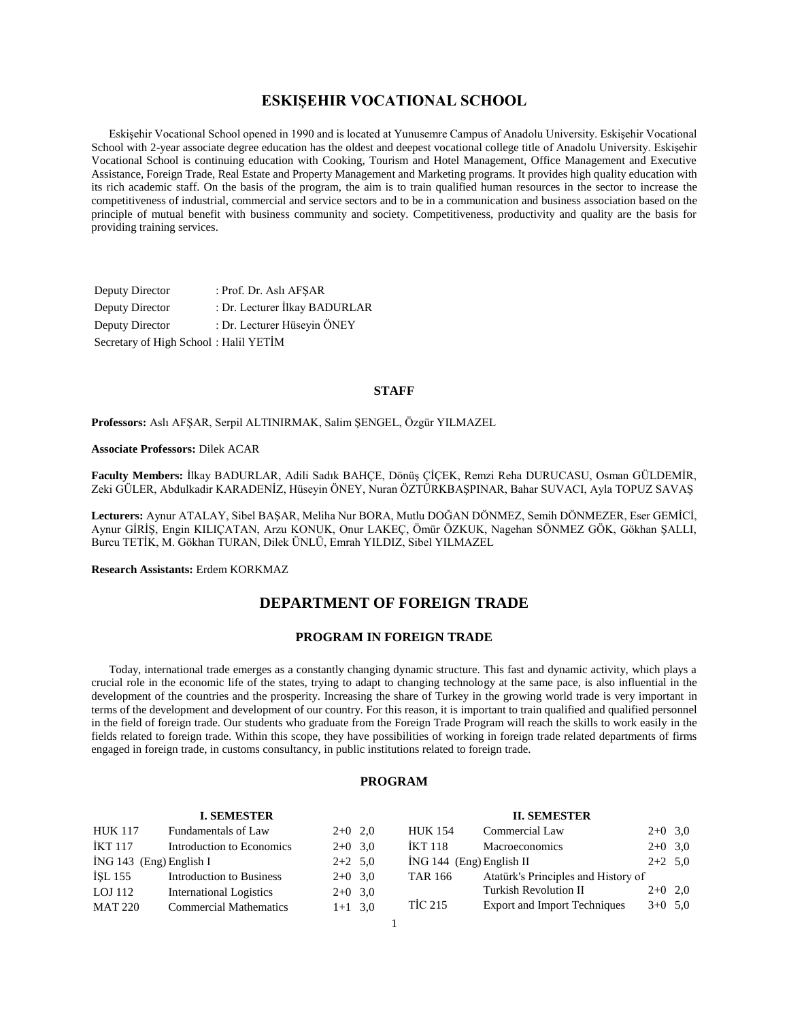# **ESKIŞEHIR VOCATIONAL SCHOOL**

 Eskişehir Vocational School opened in 1990 and is located at Yunusemre Campus of Anadolu University. Eskişehir Vocational School with 2-year associate degree education has the oldest and deepest vocational college title of Anadolu University. Eskişehir Vocational School is continuing education with Cooking, Tourism and Hotel Management, Office Management and Executive Assistance, Foreign Trade, Real Estate and Property Management and Marketing programs. It provides high quality education with its rich academic staff. On the basis of the program, the aim is to train qualified human resources in the sector to increase the competitiveness of industrial, commercial and service sectors and to be in a communication and business association based on the principle of mutual benefit with business community and society. Competitiveness, productivity and quality are the basis for providing training services.

Deputy Director : Prof. Dr. Aslı AFŞAR Deputy Director : Dr. Lecturer İlkay BADURLAR Deputy Director : Dr. Lecturer Hüseyin ÖNEY Secretary of High School : Halil YETİM

#### **STAFF**

**Professors:** Aslı AFŞAR, Serpil ALTINIRMAK, Salim ŞENGEL, Özgür YILMAZEL

#### **Associate Professors:** Dilek ACAR

**Faculty Members:** İlkay BADURLAR, Adili Sadık BAHÇE, Dönüş ÇİÇEK, Remzi Reha DURUCASU, Osman GÜLDEMİR, Zeki GÜLER, Abdulkadir KARADENİZ, Hüseyin ÖNEY, Nuran ÖZTÜRKBAŞPINAR, Bahar SUVACI, Ayla TOPUZ SAVAŞ

**Lecturers:** Aynur ATALAY, Sibel BAŞAR, Meliha Nur BORA, Mutlu DOĞAN DÖNMEZ, Semih DÖNMEZER, Eser GEMİCİ, Aynur GİRİŞ, Engin KILIÇATAN, Arzu KONUK, Onur LAKEÇ, Ömür ÖZKUK, Nagehan SÖNMEZ GÖK, Gökhan ŞALLI, Burcu TETİK, M. Gökhan TURAN, Dilek ÜNLÜ, Emrah YILDIZ, Sibel YILMAZEL

**Research Assistants:** Erdem KORKMAZ

# **DEPARTMENT OF FOREIGN TRADE**

## **PROGRAM IN FOREIGN TRADE**

 Today, international trade emerges as a constantly changing dynamic structure. This fast and dynamic activity, which plays a crucial role in the economic life of the states, trying to adapt to changing technology at the same pace, is also influential in the development of the countries and the prosperity. Increasing the share of Turkey in the growing world trade is very important in terms of the development and development of our country. For this reason, it is important to train qualified and qualified personnel in the field of foreign trade. Our students who graduate from the Foreign Trade Program will reach the skills to work easily in the fields related to foreign trade. Within this scope, they have possibilities of working in foreign trade related departments of firms engaged in foreign trade, in customs consultancy, in public institutions related to foreign trade.

#### **PROGRAM**

|                         | <b>I. SEMESTER</b>             |           |  |                            | <b>II. SEMESTER</b>                 |           |  |
|-------------------------|--------------------------------|-----------|--|----------------------------|-------------------------------------|-----------|--|
| <b>HUK 117</b>          | Fundamentals of Law            | $2+0$ 2,0 |  | <b>HUK 154</b>             | Commercial Law                      | $2+0$ 3,0 |  |
| <b>İKT 117</b>          | Introduction to Economics      | $2+0$ 3.0 |  | <b>IKT 118</b>             | <b>Macroeconomics</b>               | $2+0$ 3,0 |  |
| ING 143 (Eng) English I |                                | $2+2$ 5,0 |  | $ING 144$ (Eng) English II |                                     | $2+2$ 5.0 |  |
| İŞL 155                 | Introduction to Business       | $2+0$ 3.0 |  | <b>TAR 166</b>             | Atatürk's Principles and History of |           |  |
| LOJ 112                 | <b>International Logistics</b> | $2+0$ 3,0 |  |                            | Turkish Revolution II               | $2+0$ 2,0 |  |
| <b>MAT 220</b>          | <b>Commercial Mathematics</b>  | $1+1$ 3,0 |  | <b>TIC 215</b>             | <b>Export and Import Techniques</b> | $3+0$ 5,0 |  |
|                         |                                |           |  |                            |                                     |           |  |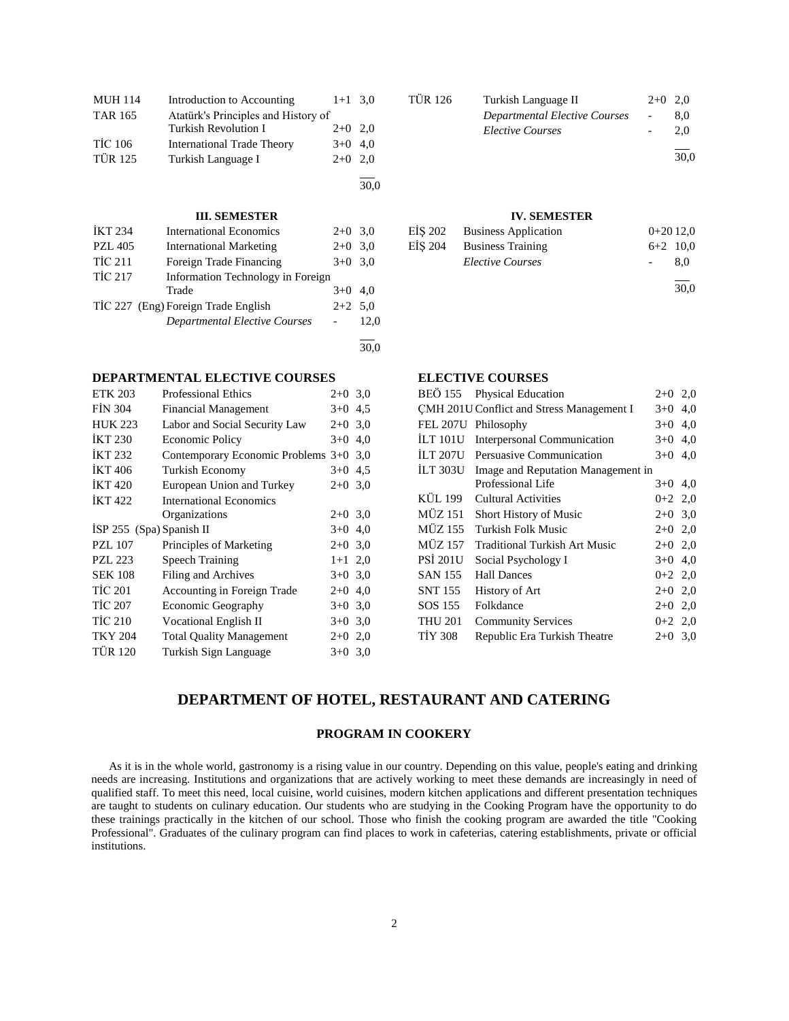| <b>MUH 114</b> | Introduction to Accounting          | $1+1$ 3.0 |      |
|----------------|-------------------------------------|-----------|------|
| <b>TAR 165</b> | Atatürk's Principles and History of |           |      |
|                | Turkish Revolution I                | $2+0$ 2,0 |      |
| <b>TİC 106</b> | <b>International Trade Theory</b>   | $3+0$ 4,0 |      |
| <b>TÜR 125</b> | Turkish Language I                  | $2+0$ 2.0 |      |
|                |                                     |           |      |
|                |                                     |           | 30.0 |

#### **III. SEMESTER**

| <b>IKT 234</b> | <b>International Economics</b>       | $2+0$ 3.0 |      |
|----------------|--------------------------------------|-----------|------|
| <b>PZL 405</b> | <b>International Marketing</b>       | $2+0$ 3.0 |      |
| <b>TIC 211</b> | Foreign Trade Financing              | $3+0$ 3.0 |      |
| <b>TİC 217</b> | Information Technology in Foreign    |           |      |
|                | Trade                                | $3+0$ 4,0 |      |
|                | TIC 227 (Eng) Foreign Trade English  | $2+2$ 5.0 |      |
|                | <b>Departmental Elective Courses</b> |           | 12.0 |
|                |                                      |           |      |

30,0

## **DEPARTMENTAL ELECTIVE COURSES**

| <b>ETK 203</b>             | <b>Professional Ethics</b>             | $2+0$ 3,0 |     |
|----------------------------|----------------------------------------|-----------|-----|
| <b>FIN 304</b>             | <b>Financial Management</b>            | $3+0$ 4.5 |     |
| <b>HUK 223</b>             | Labor and Social Security Law          | $2+0$ 3.0 |     |
| <b>IKT 230</b>             | <b>Economic Policy</b>                 | $3+0$     | 4,0 |
| İKT 232                    | Contemporary Economic Problems 3+0 3,0 |           |     |
| <b>IKT 406</b>             | <b>Turkish Economy</b>                 | $3+0$ 4.5 |     |
| <b>İKT 420</b>             | European Union and Turkey              | $2+0$ 3.0 |     |
| <b>IKT422</b>              | <b>International Economics</b>         |           |     |
|                            | Organizations                          | $2+0$ 3.0 |     |
| ISP $255$ (Spa) Spanish II |                                        | $3+0$ 4,0 |     |
| <b>PZL 107</b>             | Principles of Marketing                | $2+0$ 3.0 |     |
| <b>PZL 223</b>             | <b>Speech Training</b>                 | $1+1$ 2,0 |     |
| <b>SEK 108</b>             | Filing and Archives                    | $3+0$ 3.0 |     |
| <b>TIC 201</b>             | Accounting in Foreign Trade            | $2+0$ 4,0 |     |
| <b>TIC 207</b>             | Economic Geography                     | $3+0$ 3.0 |     |
| <b>TIC 210</b>             | <b>Vocational English II</b>           | $3+0$ 3.0 |     |
| <b>TKY 204</b>             | <b>Total Quality Management</b>        | $2+0$ 2,0 |     |
| <b>TÜR 120</b>             | Turkish Sign Language                  | $3+0$ 3,0 |     |

| TÜR 126 | Turkish Language II                  | $2+0$ 2.0 |      |
|---------|--------------------------------------|-----------|------|
|         | <b>Departmental Elective Courses</b> |           | 8.0  |
|         | <i>Elective Courses</i>              |           | 2.0  |
|         |                                      |           | 30,0 |

## **IV. SEMESTER**

| EIS 202 | <b>Business Application</b> | $0+2012,0$ |      |
|---------|-----------------------------|------------|------|
| EIS 204 | <b>Business Training</b>    | $6+2$ 10,0 |      |
|         | <b>Elective Courses</b>     |            | 8.0  |
|         |                             |            | 30,0 |

# **ELECTIVE COURSES**

|                 | BEO 155 Physical Education                | $2+0$ 2,0 |     |
|-----------------|-------------------------------------------|-----------|-----|
|                 | CMH 201U Conflict and Stress Management I | $3+0$ 4,0 |     |
| <b>FEL 207U</b> | Philosophy                                | $3+0$     | 4,0 |
|                 | İLT 101U Interpersonal Communication      | $3+0$ 4,0 |     |
|                 | ILT 207U Persuasive Communication         | $3+0$ 4,0 |     |
| İLT 303U        | Image and Reputation Management in        |           |     |
|                 | Professional Life                         | $3+0$ 4,0 |     |
| KÜL 199         | Cultural Activities                       | $0+2$ 2,0 |     |
| <b>MÜZ 151</b>  | Short History of Music                    | $2+0$ 3,0 |     |
| <b>MÜZ 155</b>  | Turkish Folk Music                        | $2+0$ 2,0 |     |
| <b>MÜZ 157</b>  | <b>Traditional Turkish Art Music</b>      | $2+0$ 2,0 |     |
| <b>PSI 201U</b> | Social Psychology I                       | $3+0$ 4,0 |     |
| <b>SAN 155</b>  | <b>Hall Dances</b>                        | $0+2$ 2,0 |     |
| <b>SNT 155</b>  | History of Art                            | $2+0$ 2,0 |     |
| SOS 155         | Folkdance                                 | $2+0$ 2,0 |     |
| <b>THU 201</b>  | <b>Community Services</b>                 | $0+2$ 2,0 |     |
| <b>TİY 308</b>  | Republic Era Turkish Theatre              | $2+0$ 3.0 |     |
|                 |                                           |           |     |

# **DEPARTMENT OF HOTEL, RESTAURANT AND CATERING**

## **PROGRAM IN COOKERY**

 As it is in the whole world, gastronomy is a rising value in our country. Depending on this value, people's eating and drinking needs are increasing. Institutions and organizations that are actively working to meet these demands are increasingly in need of qualified staff. To meet this need, local cuisine, world cuisines, modern kitchen applications and different presentation techniques are taught to students on culinary education. Our students who are studying in the Cooking Program have the opportunity to do these trainings practically in the kitchen of our school. Those who finish the cooking program are awarded the title "Cooking Professional". Graduates of the culinary program can find places to work in cafeterias, catering establishments, private or official institutions.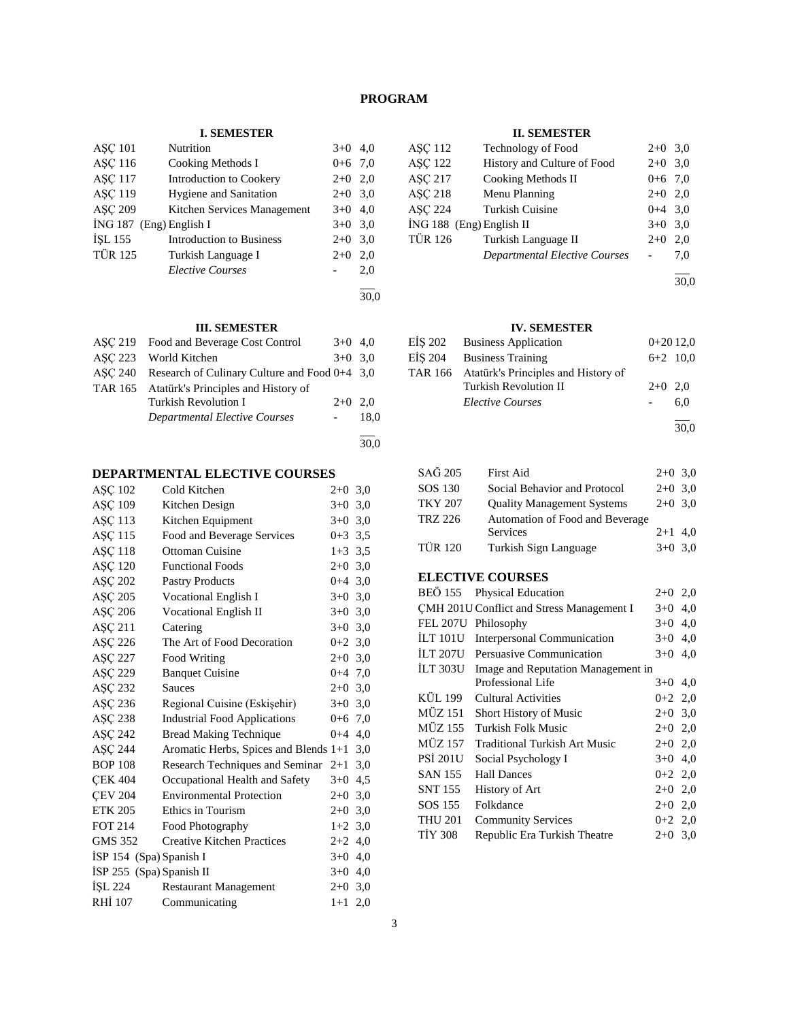# **PROGRAM**

## **I. SEMESTER**

| <b>ASC 101</b>            | Nutrition                       | $3+0$     | 4.0 |
|---------------------------|---------------------------------|-----------|-----|
| <b>ASC 116</b>            | Cooking Methods I               | $0+6$ 7,0 |     |
| <b>ASC 117</b>            | Introduction to Cookery         | $2+0$     | 2,0 |
| <b>ASC 119</b>            | <b>Hygiene and Sanitation</b>   | $2+0$ 3.0 |     |
| <b>ASC 209</b>            | Kitchen Services Management     | $3+0$     | 4.0 |
| $ING 187$ (Eng) English I |                                 | $3+0$ 3.0 |     |
| <b>İSL 155</b>            | <b>Introduction to Business</b> | $2+0$     | 3,0 |
| <b>TÜR 125</b>            | Turkish Language I              | $2+0$     | 2,0 |
|                           | <b>Elective Courses</b>         |           | 2,0 |
|                           |                                 |           |     |

#### 30,0

30,0

# **III. SEMESTER**

| ASC 219 Food and Beverage Cost Control                  | $3+0$ 4,0 |      |
|---------------------------------------------------------|-----------|------|
| ASC 223 World Kitchen                                   | $3+0$ 3.0 |      |
| ASC 240 Research of Culinary Culture and Food $0+4$ 3.0 |           |      |
| TAR 165 Atatürk's Principles and History of             |           |      |
| Turkish Revolution I                                    | $2+0$ 2.0 |      |
| Departmental Elective Courses                           |           | 18.0 |
|                                                         |           |      |

## **DEPARTMENTAL ELECTIVE COURSES**

| ASC 102                  | Cold Kitchen                          | $2+0$ 3,0   |     |
|--------------------------|---------------------------------------|-------------|-----|
| ASC 109                  | Kitchen Design                        | $3+0$ 3,0   |     |
| AŞÇ 113                  | Kitchen Equipment                     | $3+0, 3, 0$ |     |
| ASC 115                  | Food and Beverage Services            | $0+3$ 3,5   |     |
| <b>ASC 118</b>           | <b>Ottoman Cuisine</b>                | $1+3$ 3.5   |     |
| ASC 120                  | <b>Functional Foods</b>               | $2+0$ 3,0   |     |
| ASC 202                  | <b>Pastry Products</b>                | $0+4$ 3,0   |     |
| ASC 205                  | Vocational English I                  | $3+0$ 3,0   |     |
| ASC 206                  | Vocational English II                 | $3+0$ 3.0   |     |
| AŞÇ 211                  | Catering                              | $3+0$ 3.0   |     |
| ASC 226                  | The Art of Food Decoration            | $0+2$ 3.0   |     |
| <b>ASC 227</b>           | Food Writing                          | $2+0$ 3.0   |     |
| ASC 229                  | <b>Banquet Cuisine</b>                | $0+4$ 7,0   |     |
| AŞÇ 232                  | <b>Sauces</b>                         | $2+0$ 3,0   |     |
| AŞÇ 236                  | Regional Cuisine (Eskişehir)          | $3+0$ 3.0   |     |
| AŞÇ 238                  | <b>Industrial Food Applications</b>   | $0+6$ 7,0   |     |
| ASC 242                  | <b>Bread Making Technique</b>         | $0+4$ 4,0   |     |
| AŞÇ 244                  | Aromatic Herbs, Spices and Blends 1+1 |             | 3,0 |
| <b>BOP 108</b>           | Research Techniques and Seminar       | $2+1$ 3,0   |     |
| <b>CEK 404</b>           | Occupational Health and Safety        | $3+0$       | 4,5 |
| <b>CEV 204</b>           | <b>Environmental Protection</b>       | $2+0$       | 3,0 |
| <b>ETK 205</b>           | Ethics in Tourism                     | $2+0$ 3,0   |     |
| <b>FOT 214</b>           | Food Photography                      | $1+2$ 3,0   |     |
| <b>GMS 352</b>           | <b>Creative Kitchen Practices</b>     | $2+2$ 4,0   |     |
| ISP 154 (Spa) Spanish I  |                                       | $3+0$ 4,0   |     |
| İSP 255 (Spa) Spanish II |                                       | $3+0$ 4,0   |     |
| ISL 224                  | <b>Restaurant Management</b>          | $2+0$ 3,0   |     |
| <b>RHI 107</b>           | Communicating                         | $1+1$ 2,0   |     |
|                          |                                       |             |     |

## **II. SEMESTER**

| <b>ASC 112</b>           | <b>Technology of Food</b>            | $2+0$ 3.0 |     |
|--------------------------|--------------------------------------|-----------|-----|
| <b>ASC 122</b>           | History and Culture of Food          | $2+0$ 3.0 |     |
| <b>ASC 217</b>           | Cooking Methods II                   | $0+6$ 7.0 |     |
| <b>ASC 218</b>           | Menu Planning                        | $2+0$ 2.0 |     |
| <b>ASC 224</b>           | <b>Turkish Cuisine</b>               | $0+4$ 3.0 |     |
| İNG 188 (Eng) English II |                                      | $3+0$ 3.0 |     |
| <b>TÜR 126</b>           | Turkish Language II                  | $2+0$     | 2.0 |
|                          | <b>Departmental Elective Courses</b> |           | 7.0 |
|                          |                                      |           |     |

30,0

## **IV. SEMESTER**

| EİŞ 202 Business Application                | $0+2012,0$ |            |
|---------------------------------------------|------------|------------|
| EİS 204 Business Training                   |            | $6+2$ 10,0 |
| TAR 166 Atatürk's Principles and History of |            |            |
| <b>Turkish Revolution II</b>                | $2+0$ 2.0  |            |
| <b>Elective Courses</b>                     |            | 6.0        |
|                                             |            |            |

30,0

| SAG 205        | <b>First Aid</b>                  | $2+0$ 3,0 |  |
|----------------|-----------------------------------|-----------|--|
| SOS 130        | Social Behavior and Protocol      | $2+0$ 3,0 |  |
| <b>TKY 207</b> | <b>Quality Management Systems</b> | $2+0$ 3,0 |  |
| <b>TRZ 226</b> | Automation of Food and Beverage   |           |  |
|                | Services                          | $2+1$ 4.0 |  |
| <b>TÜR 120</b> | Turkish Sign Language             | $3+0$ 3.0 |  |

# **ELECTIVE COURSES**

|                 | BEO 155 Physical Education                         | $2+0$ 2,0 |     |  |  |
|-----------------|----------------------------------------------------|-----------|-----|--|--|
|                 | CMH 201U Conflict and Stress Management I<br>$3+0$ |           |     |  |  |
| <b>FEL 207U</b> | Philosophy                                         | $3+0$     | 4,0 |  |  |
| <b>ILT 101U</b> | Interpersonal Communication                        | $3+0$ 4,0 |     |  |  |
| İLT 207U        | Persuasive Communication                           | $3+0$ 4.0 |     |  |  |
| İLT 303U        | Image and Reputation Management in                 |           |     |  |  |
|                 | Professional Life                                  | $3+0$ 4,0 |     |  |  |
| <b>KÜL 199</b>  | Cultural Activities                                | $0+2$ 2,0 |     |  |  |
| <b>MÜZ 151</b>  | <b>Short History of Music</b>                      | $2+0$ 3,0 |     |  |  |
| <b>MÜZ 155</b>  | Turkish Folk Music                                 | $2+0$ 2,0 |     |  |  |
| MÜZ 157         | <b>Traditional Turkish Art Music</b>               | $2+0$ 2,0 |     |  |  |
| <b>PSI 201U</b> | Social Psychology I                                | $3+0$ 4,0 |     |  |  |
| <b>SAN 155</b>  | <b>Hall Dances</b>                                 | $0+2$ 2,0 |     |  |  |
| SNT 155         | History of Art                                     | $2+0$ 2,0 |     |  |  |
| SOS 155         | Folkdance                                          | $2+0$ 2,0 |     |  |  |
| <b>THU 201</b>  | <b>Community Services</b>                          | $0+2$ 2,0 |     |  |  |
| <b>TIY 308</b>  | Republic Era Turkish Theatre                       | $2+0$ 3.0 |     |  |  |
|                 |                                                    |           |     |  |  |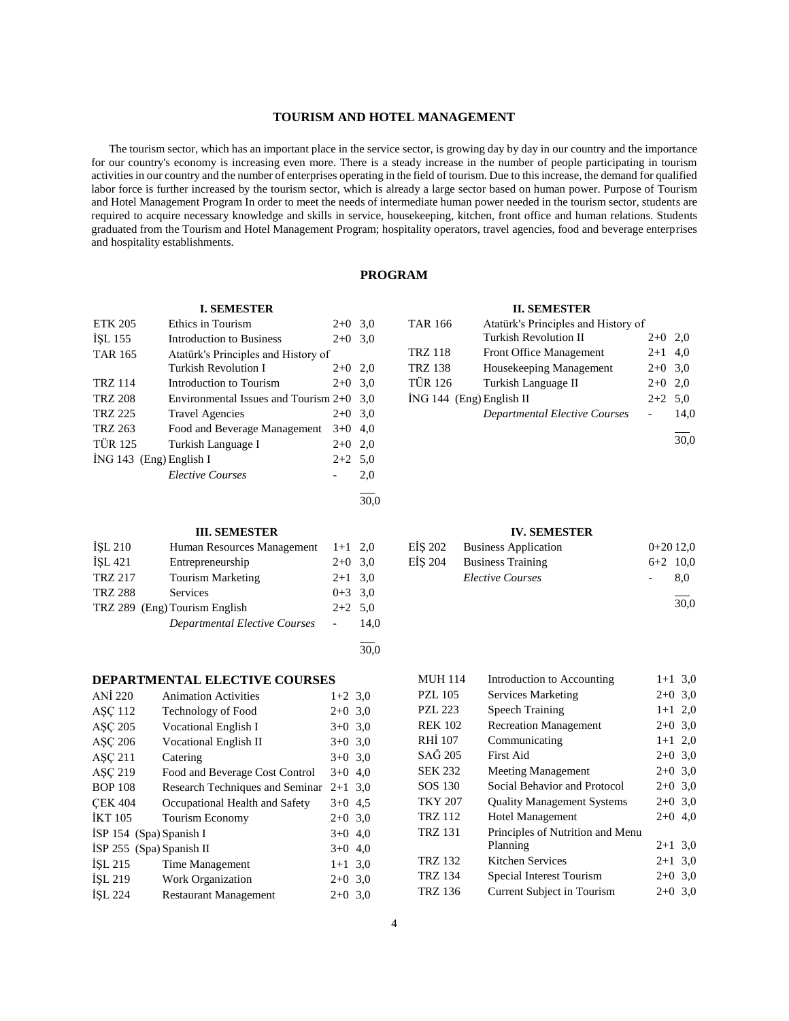## **TOURISM AND HOTEL MANAGEMENT**

 The tourism sector, which has an important place in the service sector, is growing day by day in our country and the importance for our country's economy is increasing even more. There is a steady increase in the number of people participating in tourism activities in our country and the number of enterprises operating in the field of tourism. Due to this increase, the demand for qualified labor force is further increased by the tourism sector, which is already a large sector based on human power. Purpose of Tourism and Hotel Management Program In order to meet the needs of intermediate human power needed in the tourism sector, students are required to acquire necessary knowledge and skills in service, housekeeping, kitchen, front office and human relations. Students graduated from the Tourism and Hotel Management Program; hospitality operators, travel agencies, food and beverage enterprises and hospitality establishments.

## **PROGRAM**

#### **I. SEMESTER**

| <b>ETK 205</b> | Ethics in Tourism                      | $2+0$     | 3,0 |
|----------------|----------------------------------------|-----------|-----|
| ISL 155        | Introduction to Business               | $2+0$     | 3,0 |
| <b>TAR 165</b> | Atatürk's Principles and History of    |           |     |
|                | Turkish Revolution I                   | $2+0$     | 2.0 |
| <b>TRZ 114</b> | Introduction to Tourism                | $2+0$     | 3,0 |
| <b>TRZ 208</b> | Environmental Issues and Tourism $2+0$ |           | 3.0 |
| <b>TRZ 225</b> | <b>Travel Agencies</b>                 | $2+0$     | 3.0 |
| TRZ 263        | Food and Beverage Management           | $3+0$     | 4.0 |
| <b>TÜR 125</b> | Turkish Language I                     | $2+0$     | 2,0 |
|                | $ING 143$ (Eng) English I              | $2+2$ 5.0 |     |
|                | <b>Elective Courses</b>                |           | 2.0 |
|                |                                        |           |     |

 $\frac{1}{30.0}$ 

## **III. SEMESTER**

| ISL 210        | Human Resources Management           | $1+1$ 2,0 |      |
|----------------|--------------------------------------|-----------|------|
| İSL 421        | Entrepreneurship                     | $2+0$ 3.0 |      |
| <b>TRZ 217</b> | <b>Tourism Marketing</b>             | $2+1$ 3.0 |      |
| <b>TRZ 288</b> | Services                             | $0+3$ 3.0 |      |
|                | TRZ 289 (Eng) Tourism English        | $2+2$ 5.0 |      |
|                | <b>Departmental Elective Courses</b> |           | 14.0 |
|                |                                      |           |      |

 $\frac{1}{30.0}$ 

## **DEPARTMENTAL ELECTIVE COURSES**

| ANI 220                    | <b>Animation Activities</b>     | $1+2$ 3,0 |  |
|----------------------------|---------------------------------|-----------|--|
| <b>ASC 112</b>             | <b>Technology of Food</b>       | $2+0$ 3.0 |  |
| <b>ASC 205</b>             | Vocational English I            | $3+0$ 3.0 |  |
| AŞÇ 206                    | <b>Vocational English II</b>    | $3+0$ 3,0 |  |
| <b>ASC 211</b>             | Catering                        | $3+0$ 3.0 |  |
| ASC 219                    | Food and Beverage Cost Control  | $3+0$ 4.0 |  |
| <b>BOP 108</b>             | Research Techniques and Seminar | $2+1$ 3.0 |  |
| <b>CEK 404</b>             | Occupational Health and Safety  | $3+0$ 4.5 |  |
| <b>IKT 105</b>             | Tourism Economy                 | $2+0$ 3,0 |  |
| ISP 154 (Spa) Spanish I    |                                 | $3+0$ 4,0 |  |
| $ISP 255$ (Spa) Spanish II |                                 | $3+0$ 4.0 |  |
| ISL 215                    | Time Management                 | $1+1$ 3.0 |  |
| ISL 219                    | <b>Work Organization</b>        | $2+0$ 3.0 |  |
| ISL 224                    | <b>Restaurant Management</b>    | $2+0$ 3.0 |  |
|                            |                                 |           |  |

## **II. SEMESTER**

| <b>TAR 166</b>             | Atatürk's Principles and History of  |           |      |
|----------------------------|--------------------------------------|-----------|------|
|                            | <b>Turkish Revolution II</b>         | $2+0$ 2,0 |      |
| <b>TRZ 118</b>             | Front Office Management              | $2+1$ 4,0 |      |
| <b>TRZ 138</b>             | Housekeeping Management              | $2+0$ 3.0 |      |
| <b>TÜR 126</b>             | Turkish Language II                  | $2+0$ 2,0 |      |
| $ING 144$ (Eng) English II |                                      | $2+2$ 5.0 |      |
|                            | <b>Departmental Elective Courses</b> |           | 14.0 |

l  $\frac{1}{30.0}$ 

#### **IV. SEMESTER**

| EİŞ 202 Business Application | $0+2012,0$ |      |
|------------------------------|------------|------|
| EIS 204 Business Training    | $6+2$ 10,0 |      |
| <i>Elective Courses</i>      |            | 8.0  |
|                              |            | 30.0 |

| MUH 114        | Introduction to Accounting        | $1+1$ 3,0 |  |
|----------------|-----------------------------------|-----------|--|
| PZL 105        | <b>Services Marketing</b>         | $2+0$ 3,0 |  |
| <b>PZL 223</b> | <b>Speech Training</b>            | $1+1$ 2,0 |  |
| <b>REK 102</b> | <b>Recreation Management</b>      | $2+0$ 3,0 |  |
| RHÍ 107        | Communicating                     | $1+1$ 2,0 |  |
| SAĞ 205        | <b>First Aid</b>                  | $2+0$ 3,0 |  |
| SEK 232        | <b>Meeting Management</b>         | $2+0$ 3,0 |  |
| SOS 130        | Social Behavior and Protocol      | $2+0$ 3,0 |  |
| TKY 207        | <b>Quality Management Systems</b> | $2+0$ 3,0 |  |
| TRZ 112        | <b>Hotel Management</b>           | $2+0$ 4,0 |  |
| TRZ 131        | Principles of Nutrition and Menu  |           |  |
|                | Planning                          | $2+1$ 3,0 |  |
| TRZ 132        | Kitchen Services                  | $2+1$ 3,0 |  |
| TRZ 134        | Special Interest Tourism          | $2+0$ 3,0 |  |
| TRZ 136        | Current Subject in Tourism        | $2+0$ 3.0 |  |
|                |                                   |           |  |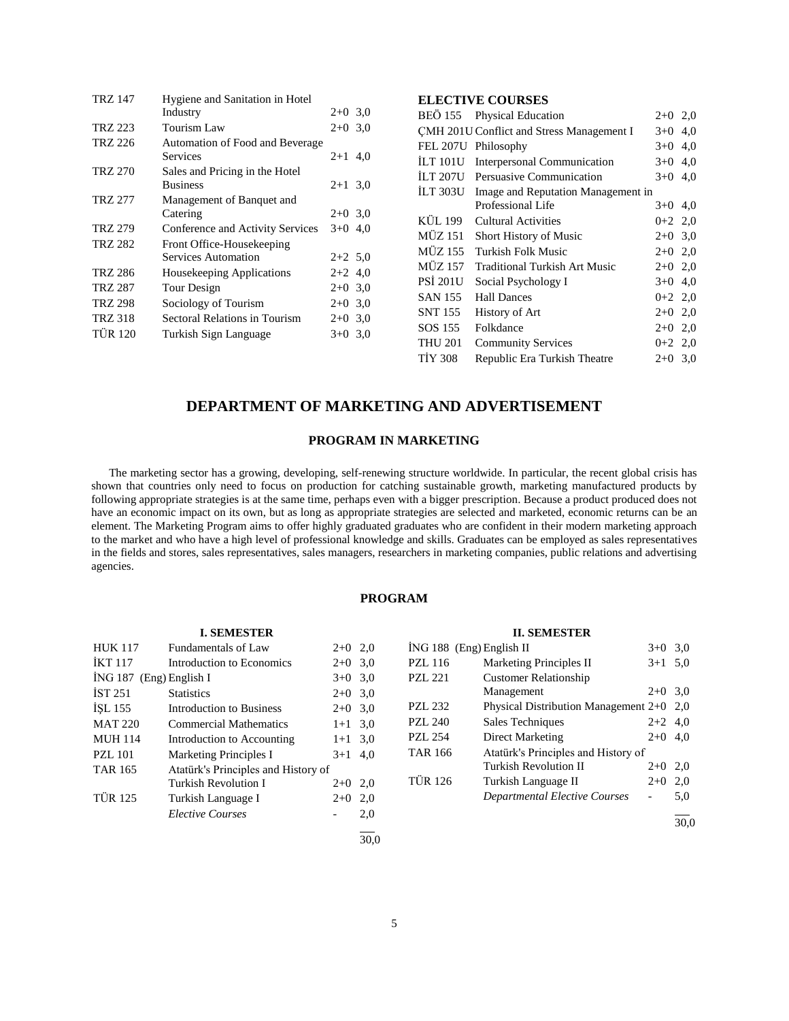| <b>TRZ 147</b> | Hygiene and Sanitation in Hotel  |           |  |
|----------------|----------------------------------|-----------|--|
|                | Industry                         | $2+0$ 3.0 |  |
| TRZ 223        | Tourism Law                      | $2+0$ 3.0 |  |
| TRZ 226        | Automation of Food and Beverage  |           |  |
|                | Services                         | $2+1$ 4,0 |  |
| TRZ 270        | Sales and Pricing in the Hotel   |           |  |
|                | <b>Business</b>                  | $2+1$ 3.0 |  |
| TRZ 277        | Management of Banquet and        |           |  |
|                | Catering                         | $2+0$ 3.0 |  |
| <b>TRZ 279</b> | Conference and Activity Services | $3+0$ 4.0 |  |
| TRZ 282        | Front Office-Housekeeping        |           |  |
|                | Services Automation              | $2+2$ 5.0 |  |
| TRZ 286        | Housekeeping Applications        | $2+2$ 4,0 |  |
| TRZ 287        | Tour Design                      | $2+0$ 3,0 |  |
| <b>TRZ 298</b> | Sociology of Tourism             | $2+0$ 3.0 |  |
| TRZ 318        | Sectoral Relations in Tourism    | $2+0$ 3.0 |  |
| <b>TÜR 120</b> | Turkish Sign Language            | $3+0$ 3.0 |  |
|                |                                  |           |  |

# **ELECTIVE COURSES**

|                                           | BEÖ 155 Physical Education           | $2+0$ 2,0 |     |
|-------------------------------------------|--------------------------------------|-----------|-----|
| CMH 201U Conflict and Stress Management I | $3+0$                                | 4,0       |     |
| FEL 207U                                  | Philosophy                           | $3+0$     | 4,0 |
| İLT 101U                                  | Interpersonal Communication          | $3+0$ 4,0 |     |
| İLT 207U                                  | Persuasive Communication             | $3+0$ 4,0 |     |
| İLT 303U                                  | Image and Reputation Management in   |           |     |
|                                           | Professional Life                    | $3+0$     | 4,0 |
| KÜL 199                                   | Cultural Activities                  | $0+2$ 2,0 |     |
| MÜZ 151                                   | Short History of Music               | $2+0$ 3,0 |     |
| MÜZ 155                                   | Turkish Folk Music                   | $2+0$ 2,0 |     |
| MÜZ 157                                   | <b>Traditional Turkish Art Music</b> | $2+0$ 2,0 |     |
| PSİ 201U                                  | Social Psychology I                  | $3+0$ 4,0 |     |
| SAN 155                                   | <b>Hall Dances</b>                   | $0+2$ 2,0 |     |
| SNT 155                                   | History of Art                       | $2+0$ 2,0 |     |
| SOS 155                                   | Folkdance                            | $2+0$ 2,0 |     |
| THU 201                                   | <b>Community Services</b>            | $0+2$ 2,0 |     |
| TİY 308                                   | Republic Era Turkish Theatre         | $2+0$ 3,0 |     |

# **DEPARTMENT OF MARKETING AND ADVERTISEMENT**

# **PROGRAM IN MARKETING**

 The marketing sector has a growing, developing, self-renewing structure worldwide. In particular, the recent global crisis has shown that countries only need to focus on production for catching sustainable growth, marketing manufactured products by following appropriate strategies is at the same time, perhaps even with a bigger prescription. Because a product produced does not have an economic impact on its own, but as long as appropriate strategies are selected and marketed, economic returns can be an element. The Marketing Program aims to offer highly graduated graduates who are confident in their modern marketing approach to the market and who have a high level of professional knowledge and skills. Graduates can be employed as sales representatives in the fields and stores, sales representatives, sales managers, researchers in marketing companies, public relations and advertising agencies.

# **PROGRAM**

| <b>I. SEMESTER</b>      |                                     |           |      |                            | <b>II. SEMESTER</b>                        |                          |      |
|-------------------------|-------------------------------------|-----------|------|----------------------------|--------------------------------------------|--------------------------|------|
| <b>HUK 117</b>          | Fundamentals of Law                 | $2+0$ 2.0 |      | $ING 188$ (Eng) English II |                                            | $3+0$ 3.0                |      |
| <b>İKT</b> 117          | Introduction to Economics           | $2+0$ 3.0 |      | <b>PZL 116</b>             | <b>Marketing Principles II</b>             | $3+1$ 5.0                |      |
| İNG 187 (Eng) English I |                                     | $3+0$ 3.0 |      | <b>PZL 221</b>             | <b>Customer Relationship</b>               |                          |      |
| <b>IST 251</b>          | <b>Statistics</b>                   | $2+0$ 3.0 |      |                            | Management                                 | $2+0$ 3,0                |      |
| ISL 155                 | Introduction to Business            | $2+0$ 3.0 |      | <b>PZL 232</b>             | Physical Distribution Management $2+0$ 2,0 |                          |      |
| <b>MAT 220</b>          | <b>Commercial Mathematics</b>       | $1+1$ 3.0 |      | <b>PZL 240</b>             | Sales Techniques                           | $2+2$ 4.0                |      |
| <b>MUH 114</b>          | Introduction to Accounting          | $1+1$ 3.0 |      | <b>PZL 254</b>             | Direct Marketing                           | $2+0$ 4.0                |      |
| <b>PZL 101</b>          | <b>Marketing Principles I</b>       | $3+1$ 4.0 |      | <b>TAR 166</b>             | Atatürk's Principles and History of        |                          |      |
| <b>TAR 165</b>          | Atatürk's Principles and History of |           |      |                            | Turkish Revolution II                      | $2+0$ 2,0                |      |
|                         | Turkish Revolution I                | $2+0$ 2,0 |      | <b>TÜR 126</b>             | Turkish Language II                        | $2+0$ 2,0                |      |
| <b>TÜR 125</b>          | Turkish Language I                  | $2+0$     | 2,0  |                            | <b>Departmental Elective Courses</b>       | $\overline{\phantom{0}}$ | 5,0  |
|                         | <b>Elective Courses</b>             | -         | 2,0  |                            |                                            |                          | 30.0 |
|                         |                                     |           | 30.0 |                            |                                            |                          |      |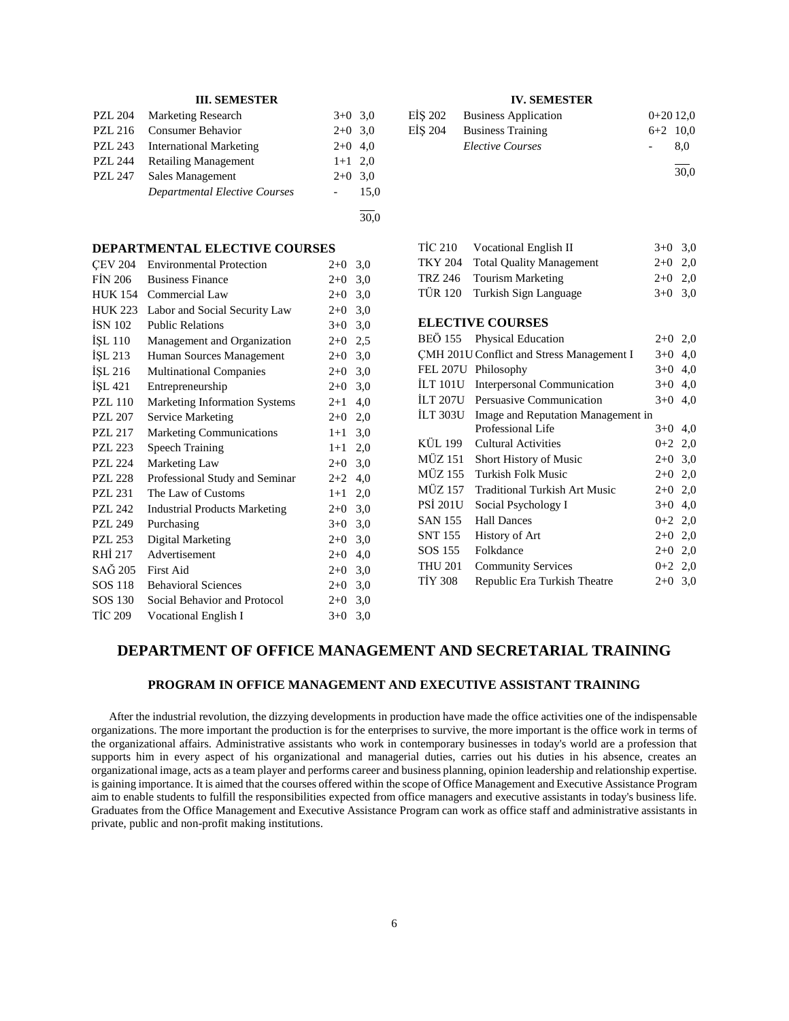## **III. SEMESTER**

|                | PZL 204 Marketing Research     | $3+0$ 3.0  |      |
|----------------|--------------------------------|------------|------|
| PZL 216        | <b>Consumer Behavior</b>       | $2+0$ 3.0  |      |
| PZL 243        | <b>International Marketing</b> | $2+0$ 4,0  |      |
| <b>PZL 244</b> | <b>Retailing Management</b>    | $1+1$ 2,0  |      |
| <b>PZL 247</b> | Sales Management               | $2+0$ 3.0  |      |
|                | Departmental Elective Courses  | $\sim 100$ | 15.0 |
|                |                                |            |      |

30,0

## **DEPARTMENTAL ELECTIVE COURSES**

| <b>CEV 204</b> | <b>Environmental Protection</b>      | $2+0$<br>3,0   |
|----------------|--------------------------------------|----------------|
| <b>FIN 206</b> | <b>Business Finance</b>              | 3,0<br>$2+0$   |
| <b>HUK 154</b> | Commercial Law                       | 3,0<br>$2+0$   |
| <b>HUK 223</b> | Labor and Social Security Law        | $2+0$<br>3,0   |
| <b>ISN 102</b> | <b>Public Relations</b>              | $3+0$<br>3,0   |
| İŞL 110        | Management and Organization          | $2+0$<br>2,5   |
| İŞL 213        | Human Sources Management             | $2+0$<br>3,0   |
| ISL 216        | <b>Multinational Companies</b>       | $2+0$<br>3,0   |
| İŞL 421        | Entrepreneurship                     | 3,0<br>$2+0$   |
| <b>PZL 110</b> | <b>Marketing Information Systems</b> | 4,0<br>$2 + 1$ |
| <b>PZL 207</b> | Service Marketing                    | $2+0$<br>2,0   |
| PZL 217        | <b>Marketing Communications</b>      | 3,0<br>$1+1$   |
| <b>PZL 223</b> | <b>Speech Training</b>               | $1 + 1$<br>2,0 |
| <b>PZL 224</b> | Marketing Law                        | $2+0$<br>3,0   |
| <b>PZL 228</b> | Professional Study and Seminar       | 4,0<br>$2+2$   |
| PZL 231        | The Law of Customs                   | $1+1$<br>2,0   |
| PZL 242        | <b>Industrial Products Marketing</b> | $2+0$<br>3,0   |
| <b>PZL 249</b> | Purchasing                           | 3,0<br>$3+0$   |
| <b>PZL 253</b> | Digital Marketing                    | $2+0$<br>3,0   |
| RHI 217        | Advertisement                        | $2+0$<br>4,0   |
| SAĞ 205        | First Aid                            | $2+0$<br>3,0   |
| <b>SOS 118</b> | <b>Behavioral Sciences</b>           | $2+0$<br>3,0   |
| SOS 130        | Social Behavior and Protocol         | $2+0$<br>3,0   |
| <b>TIC 209</b> | Vocational English I                 | $3+0$<br>3,0   |
|                |                                      |                |

## **IV. SEMESTER**

| EİŞ 202 Business Application | $0+2012.0$ |      |
|------------------------------|------------|------|
| EIS 204 Business Training    | $6+2$ 10,0 |      |
| Elective Courses             |            | 8.0  |
|                              |            | 30.0 |

TİC 210 Vocational English II  $3+0$  3,0 TKY 204 Total Quality Management 2+0 2,0 TRZ 246 Tourism Marketing  $2+0$  2,0 TÜR 120 Turkish Sign Language 3+0 3,0 **ELECTIVE COURSES** BEÖ 155 Physical Education 2+0 2,0 ÇMH 201U Conflict and Stress Management I 3+0 4,0 FEL 207U Philosophy 3+0 4,0 İLT 101U Interpersonal Communication 3+0 4,0 İLT 207U Persuasive Communication 3+0 4,0 İLT 303U Image and Reputation Management in Professional Life  $3+0$  4.0 KÜL 199 Cultural Activities  $0+2$  2.0 MÜZ 151 Short History of Music 2+0 3,0 MÜZ 155 Turkish Folk Music 2+0 2,0 MÜZ 157 Traditional Turkish Art Music 2+0 2,0 PSİ 201U Social Psychology I  $3+0$  4,0 SAN 155 Hall Dances  $0+2$  2,0 SNT 155 History of Art 2+0 2,0 SOS 155 Folkdance 2+0 2,0 THU 201 Community Services 0+2 2,0 TİY 308 Republic Era Turkish Theatre 2+0 3,0

# **DEPARTMENT OF OFFICE MANAGEMENT AND SECRETARIAL TRAINING**

#### **PROGRAM IN OFFICE MANAGEMENT AND EXECUTIVE ASSISTANT TRAINING**

 After the industrial revolution, the dizzying developments in production have made the office activities one of the indispensable organizations. The more important the production is for the enterprises to survive, the more important is the office work in terms of the organizational affairs. Administrative assistants who work in contemporary businesses in today's world are a profession that supports him in every aspect of his organizational and managerial duties, carries out his duties in his absence, creates an organizational image, acts as a team player and performs career and business planning, opinion leadership and relationship expertise. is gaining importance. It is aimed that the courses offered within the scope of Office Management and Executive Assistance Program aim to enable students to fulfill the responsibilities expected from office managers and executive assistants in today's business life. Graduates from the Office Management and Executive Assistance Program can work as office staff and administrative assistants in private, public and non-profit making institutions.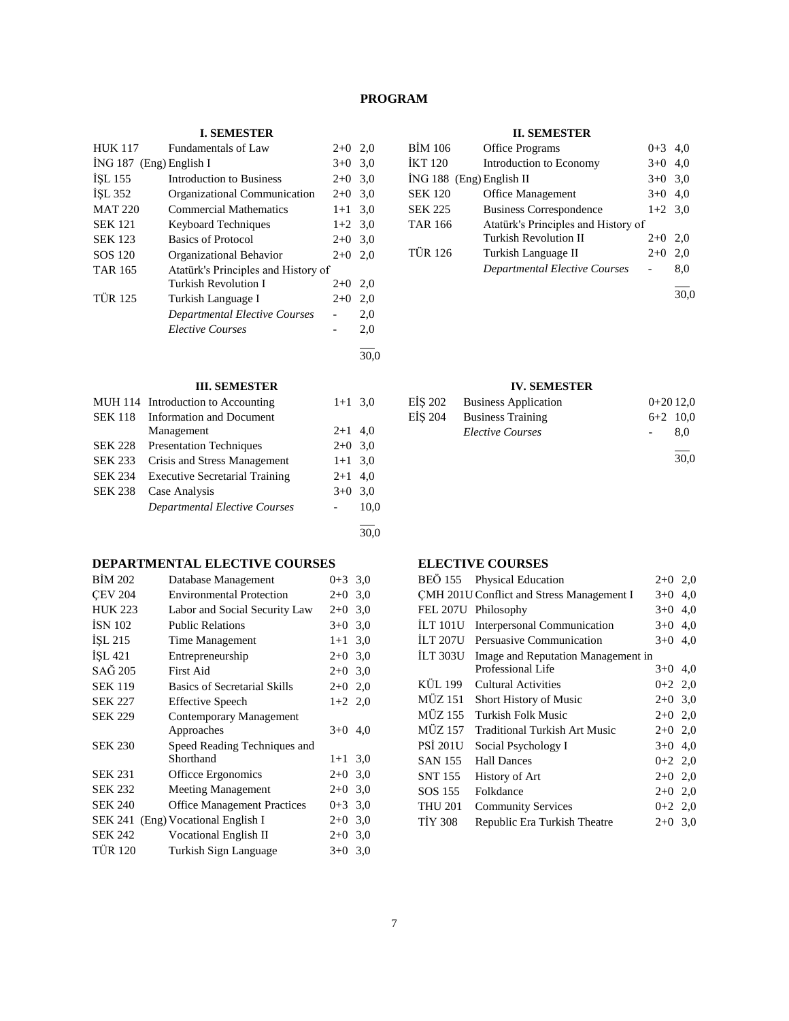# **PROGRAM**

## **I. SEMESTER**

| <b>HUK 117</b>            | Fundamentals of Law                  | $2+0$     | 2,0  |
|---------------------------|--------------------------------------|-----------|------|
| $ING 187$ (Eng) English I |                                      | $3+0$     | 3,0  |
| İŞL 155                   | Introduction to Business             | $2+0$     | 3,0  |
| ISL 352                   | Organizational Communication         | $2+0$ 3.0 |      |
| <b>MAT 220</b>            | <b>Commercial Mathematics</b>        | $1+1$     | 3,0  |
| <b>SEK 121</b>            | <b>Keyboard Techniques</b>           | $1+2$ 3.0 |      |
| <b>SEK 123</b>            | <b>Basics of Protocol</b>            | $2+0$     | 3.0  |
| SOS 120                   | Organizational Behavior              | $2+0$     | 2.0  |
| <b>TAR 165</b>            | Atatürk's Principles and History of  |           |      |
|                           | <b>Turkish Revolution I</b>          | $2+0$     | 2,0  |
| <b>TÜR 125</b>            | Turkish Language I                   | $2+0$     | 2,0  |
|                           | <b>Departmental Elective Courses</b> |           | 2,0  |
|                           | <b>Elective Courses</b>              |           | 2,0  |
|                           |                                      |           | 30.0 |

## **III. SEMESTER**

|                | MUH 114 Introduction to Accounting    | $1+1$ 3.0 |      |
|----------------|---------------------------------------|-----------|------|
| <b>SEK 118</b> | <b>Information and Document</b>       |           |      |
|                | Management                            | $2+1$ 4,0 |      |
| <b>SEK 228</b> | <b>Presentation Techniques</b>        | $2+0$ 3.0 |      |
| <b>SEK 233</b> | Crisis and Stress Management          | $1+1$ 3,0 |      |
| <b>SEK 234</b> | <b>Executive Secretarial Training</b> | $2+1$ 4,0 |      |
| <b>SEK 238</b> | Case Analysis                         | $3+0$ 3.0 |      |
|                | Departmental Elective Courses         |           | 10,0 |
|                |                                       |           |      |

# **DEPARTMENTAL ELECTIVE COURSES**

| <b>BIM 202</b> | Database Management                 | $0+3$ 3.0 |     |
|----------------|-------------------------------------|-----------|-----|
| <b>CEV 204</b> | <b>Environmental Protection</b>     | $2+0$     | 3,0 |
| <b>HUK 223</b> | Labor and Social Security Law       | $2+0$ 3.0 |     |
| <b>İSN 102</b> | <b>Public Relations</b>             | $3+0$     | 3,0 |
| ISL 215        | Time Management                     | $1+1$     | 3,0 |
| <b>ISL 421</b> | Entrepreneurship                    | $2+0$ 3.0 |     |
| SAĞ 205        | First Aid                           | $2+0$     | 3,0 |
| <b>SEK 119</b> | <b>Basics of Secretarial Skills</b> | $2+0$     | 2,0 |
| <b>SEK 227</b> | <b>Effective Speech</b>             | $1+2$ 2,0 |     |
| <b>SEK 229</b> | Contemporary Management             |           |     |
|                | Approaches                          | $3+0$     | 4,0 |
| <b>SEK 230</b> | Speed Reading Techniques and        |           |     |
|                | Shorthand                           | $1 + 1$   | 3,0 |
| <b>SEK 231</b> | Officce Ergonomics                  | $2+0$     | 3,0 |
| <b>SEK 232</b> | <b>Meeting Management</b>           | $2+0$     | 3,0 |
| <b>SEK 240</b> | <b>Office Management Practices</b>  | $0 + 3$   | 3,0 |
| <b>SEK 241</b> | (Eng) Vocational English I          | $2+0$     | 3,0 |
| <b>SEK 242</b> | <b>Vocational English II</b>        | $2+0$     | 3,0 |
| <b>TÜR 120</b> | Turkish Sign Language               | $3+0$     | 3,0 |
|                |                                     |           |     |

# **II. SEMESTER**

| <b>BİM 106</b>             | <b>Office Programs</b>               | $0 + 3$   | 4,0 |
|----------------------------|--------------------------------------|-----------|-----|
| <b>İKT 120</b>             | Introduction to Economy              | $3+0$     | 4,0 |
| $ING 188$ (Eng) English II |                                      | $3+0$ 3.0 |     |
| <b>SEK 120</b>             | <b>Office Management</b>             | $3+0$     | 4,0 |
| <b>SEK 225</b>             | <b>Business Correspondence</b>       | $1+2$ 3.0 |     |
| <b>TAR 166</b>             | Atatürk's Principles and History of  |           |     |
|                            | <b>Turkish Revolution II</b>         | $2+0$     | 2,0 |
| <b>TÜR 126</b>             | Turkish Language II                  | $2+0$     | 2,0 |
|                            | <b>Departmental Elective Courses</b> |           | 8,0 |
|                            |                                      |           |     |

30,0

# **IV. SEMESTER**

|         | EİŞ 202 Business Application |            | $0+2012.0$ |
|---------|------------------------------|------------|------------|
| EİS 204 | <b>Business Training</b>     | $6+2$ 10.0 |            |
|         | <i>Elective Courses</i>      |            | 8.0        |
|         |                              |            | 30.0       |

# **ELECTIVE COURSES**

| BEÖ 155         | <b>Physical Education</b>                 | $2+0$     | 2,0 |
|-----------------|-------------------------------------------|-----------|-----|
|                 | CMH 201U Conflict and Stress Management I | $3+0$     | 4,0 |
| <b>FEL 207U</b> | Philosophy                                | $3+0$     | 4,0 |
| ILT101U         | <b>Interpersonal Communication</b>        | $3+0$     | 4,0 |
| ÍLT 207U        | Persuasive Communication                  | $3+0$     | 4,0 |
| ILT 303U        | Image and Reputation Management in        |           |     |
|                 | Professional Life                         | $3+0$     | 4,0 |
| KÜL 199         | Cultural Activities                       | $0+2$ 2,0 |     |
| MÜZ 151         | Short History of Music                    | $2+0$ 3.0 |     |
| MÜZ 155         | Turkish Folk Music                        | $2+0$ 2,0 |     |
| <b>MÜZ 157</b>  | <b>Traditional Turkish Art Music</b>      | $2+0$ 2,0 |     |
| <b>PSI 201U</b> | Social Psychology I                       | $3+0$ 4,0 |     |
| <b>SAN 155</b>  | <b>Hall Dances</b>                        | $0+2$ 2,0 |     |
| <b>SNT 155</b>  | <b>History of Art</b>                     | $2+0$ 2,0 |     |
| SOS 155         | Folkdance                                 | $2+0$ 2,0 |     |
| <b>THU 201</b>  | <b>Community Services</b>                 | $0+2$ 2,0 |     |
| <b>TIY 308</b>  | Republic Era Turkish Theatre              | $2+0$ 3.0 |     |

30,0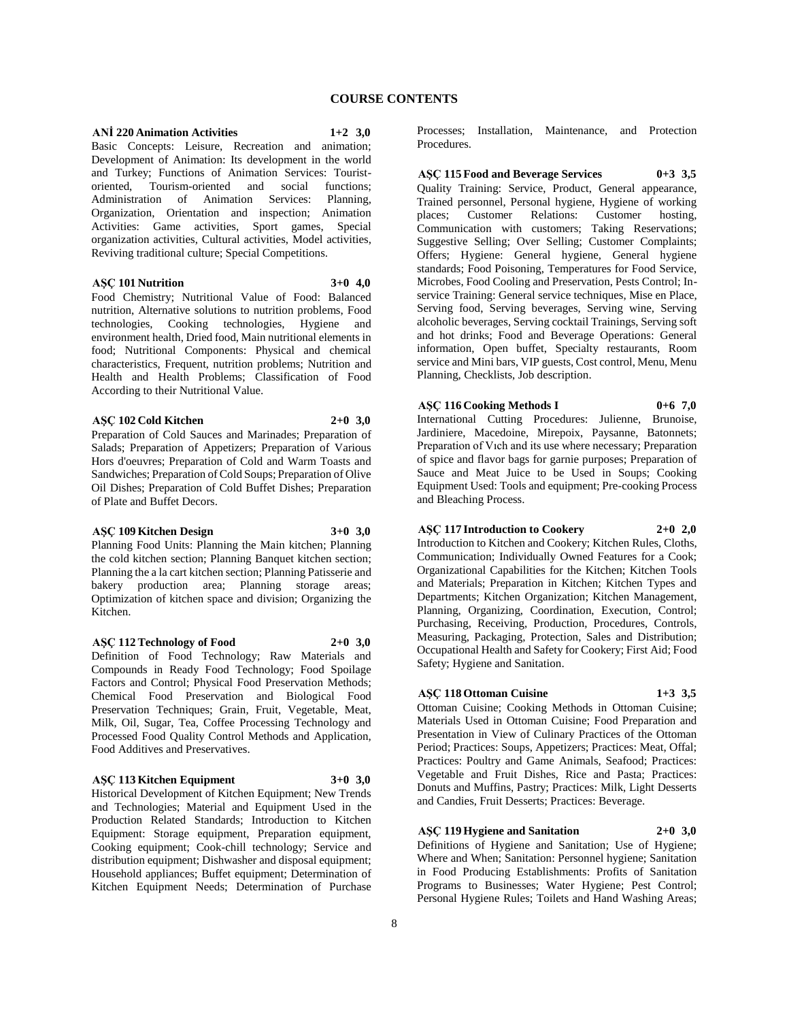## **ANİ 220 Animation Activities 1+2 3,0**

Basic Concepts: Leisure, Recreation and animation; Development of Animation: Its development in the world and Turkey; Functions of Animation Services: Touristoriented, Tourism-oriented and social functions; Administration of Animation Services: Planning, Organization, Orientation and inspection; Animation Activities: Game activities, Sport games, Special organization activities, Cultural activities, Model activities, Reviving traditional culture; Special Competitions.

## **AŞÇ 101 Nutrition 3+0 4,0**

Food Chemistry; Nutritional Value of Food: Balanced nutrition, Alternative solutions to nutrition problems, Food technologies, Cooking technologies, Hygiene and environment health, Dried food, Main nutritional elements in food; Nutritional Components: Physical and chemical characteristics, Frequent, nutrition problems; Nutrition and Health and Health Problems; Classification of Food According to their Nutritional Value.

## **AŞÇ 102 Cold Kitchen 2+0 3,0**

Preparation of Cold Sauces and Marinades; Preparation of Salads; Preparation of Appetizers; Preparation of Various Hors d'oeuvres; Preparation of Cold and Warm Toasts and Sandwiches; Preparation of Cold Soups; Preparation of Olive Oil Dishes; Preparation of Cold Buffet Dishes; Preparation of Plate and Buffet Decors.

#### **AŞÇ 109 Kitchen Design 3+0 3,0**

Planning Food Units: Planning the Main kitchen; Planning the cold kitchen section; Planning Banquet kitchen section; Planning the a la cart kitchen section; Planning Patisserie and bakery production area; Planning storage areas; Optimization of kitchen space and division; Organizing the Kitchen.

#### **AŞÇ 112 Technology of Food 2+0 3,0**

Definition of Food Technology; Raw Materials and Compounds in Ready Food Technology; Food Spoilage Factors and Control; Physical Food Preservation Methods; Chemical Food Preservation and Biological Food Preservation Techniques; Grain, Fruit, Vegetable, Meat, Milk, Oil, Sugar, Tea, Coffee Processing Technology and Processed Food Quality Control Methods and Application, Food Additives and Preservatives.

## **AŞÇ 113 Kitchen Equipment 3+0 3,0**

Historical Development of Kitchen Equipment; New Trends and Technologies; Material and Equipment Used in the Production Related Standards; Introduction to Kitchen Equipment: Storage equipment, Preparation equipment, Cooking equipment; Cook-chill technology; Service and distribution equipment; Dishwasher and disposal equipment; Household appliances; Buffet equipment; Determination of Kitchen Equipment Needs; Determination of Purchase Processes; Installation, Maintenance, and Protection Procedures.

## **AŞÇ 115 Food and Beverage Services 0+3 3,5**

Quality Training: Service, Product, General appearance, Trained personnel, Personal hygiene, Hygiene of working<br>places: Customer Relations: Customer hosting, places; Customer Relations: Communication with customers; Taking Reservations; Suggestive Selling; Over Selling; Customer Complaints; Offers; Hygiene: General hygiene, General hygiene standards; Food Poisoning, Temperatures for Food Service, Microbes, Food Cooling and Preservation, Pests Control; Inservice Training: General service techniques, Mise en Place, Serving food, Serving beverages, Serving wine, Serving alcoholic beverages, Serving cocktail Trainings, Serving soft and hot drinks; Food and Beverage Operations: General information, Open buffet, Specialty restaurants, Room service and Mini bars, VIP guests, Cost control, Menu, Menu Planning, Checklists, Job description.

# **AŞÇ 116 Cooking Methods I 0+6 7,0** International Cutting Procedures: Julienne, Brunoise,

Jardiniere, Macedoine, Mirepoix, Paysanne, Batonnets; Preparation of Vıch and its use where necessary; Preparation of spice and flavor bags for garnie purposes; Preparation of Sauce and Meat Juice to be Used in Soups; Cooking Equipment Used: Tools and equipment; Pre-cooking Process and Bleaching Process.

## **AŞÇ 117 Introduction to Cookery 2+0 2,0**

Introduction to Kitchen and Cookery; Kitchen Rules, Cloths, Communication; Individually Owned Features for a Cook; Organizational Capabilities for the Kitchen; Kitchen Tools and Materials; Preparation in Kitchen; Kitchen Types and Departments; Kitchen Organization; Kitchen Management, Planning, Organizing, Coordination, Execution, Control; Purchasing, Receiving, Production, Procedures, Controls, Measuring, Packaging, Protection, Sales and Distribution; Occupational Health and Safety for Cookery; First Aid; Food Safety; Hygiene and Sanitation.

# **AŞÇ 118 Ottoman Cuisine 1+3 3,5**

Ottoman Cuisine; Cooking Methods in Ottoman Cuisine; Materials Used in Ottoman Cuisine; Food Preparation and Presentation in View of Culinary Practices of the Ottoman Period; Practices: Soups, Appetizers; Practices: Meat, Offal; Practices: Poultry and Game Animals, Seafood; Practices: Vegetable and Fruit Dishes, Rice and Pasta; Practices: Donuts and Muffins, Pastry; Practices: Milk, Light Desserts and Candies, Fruit Desserts; Practices: Beverage.

# **AŞÇ 119 Hygiene and Sanitation 2+0 3,0**

Definitions of Hygiene and Sanitation; Use of Hygiene; Where and When; Sanitation: Personnel hygiene; Sanitation in Food Producing Establishments: Profits of Sanitation Programs to Businesses; Water Hygiene; Pest Control; Personal Hygiene Rules; Toilets and Hand Washing Areas;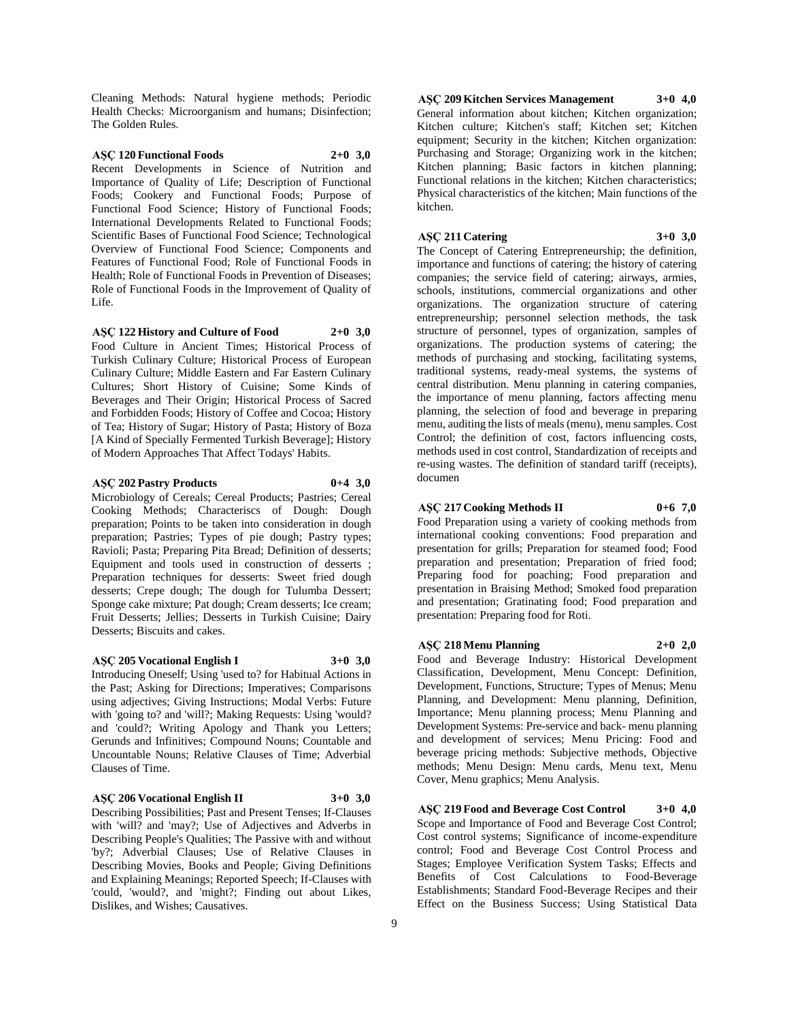Cleaning Methods: Natural hygiene methods; Periodic Health Checks: Microorganism and humans; Disinfection; The Golden Rules.

## **AŞÇ 120 Functional Foods 2+0 3,0**

Recent Developments in Science of Nutrition and Importance of Quality of Life; Description of Functional Foods; Cookery and Functional Foods; Purpose of Functional Food Science; History of Functional Foods; International Developments Related to Functional Foods; Scientific Bases of Functional Food Science; Technological Overview of Functional Food Science; Components and Features of Functional Food; Role of Functional Foods in Health; Role of Functional Foods in Prevention of Diseases; Role of Functional Foods in the Improvement of Quality of Life.

**AŞÇ 122 History and Culture of Food 2+0 3,0** Food Culture in Ancient Times; Historical Process of Turkish Culinary Culture; Historical Process of European Culinary Culture; Middle Eastern and Far Eastern Culinary Cultures; Short History of Cuisine; Some Kinds of Beverages and Their Origin; Historical Process of Sacred and Forbidden Foods; History of Coffee and Cocoa; History of Tea; History of Sugar; History of Pasta; History of Boza [A Kind of Specially Fermented Turkish Beverage]; History of Modern Approaches That Affect Todays' Habits.

#### **AŞÇ 202 Pastry Products 0+4 3,0**

Microbiology of Cereals; Cereal Products; Pastries; Cereal Cooking Methods; Characteriscs of Dough: Dough preparation; Points to be taken into consideration in dough preparation; Pastries; Types of pie dough; Pastry types; Ravioli; Pasta; Preparing Pita Bread; Definition of desserts; Equipment and tools used in construction of desserts ; Preparation techniques for desserts: Sweet fried dough desserts; Crepe dough; The dough for Tulumba Dessert; Sponge cake mixture; Pat dough; Cream desserts; Ice cream; Fruit Desserts; Jellies; Desserts in Turkish Cuisine; Dairy Desserts; Biscuits and cakes.

#### **AŞÇ 205 Vocational English I 3+0 3,0**

Introducing Oneself; Using 'used to? for Habitual Actions in the Past; Asking for Directions; Imperatives; Comparisons using adjectives; Giving Instructions; Modal Verbs: Future with 'going to? and 'will?; Making Requests: Using 'would? and 'could?; Writing Apology and Thank you Letters; Gerunds and Infinitives; Compound Nouns; Countable and Uncountable Nouns; Relative Clauses of Time; Adverbial Clauses of Time.

## **AŞÇ 206 Vocational English II 3+0 3,0**

Describing Possibilities; Past and Present Tenses; If-Clauses with 'will? and 'may?; Use of Adjectives and Adverbs in Describing People's Qualities; The Passive with and without 'by?; Adverbial Clauses; Use of Relative Clauses in Describing Movies, Books and People; Giving Definitions and Explaining Meanings; Reported Speech; If-Clauses with 'could, 'would?, and 'might?; Finding out about Likes, Dislikes, and Wishes; Causatives.

**AŞÇ 209 Kitchen Services Management 3+0 4,0** General information about kitchen; Kitchen organization; Kitchen culture; Kitchen's staff; Kitchen set; Kitchen equipment; Security in the kitchen; Kitchen organization: Purchasing and Storage; Organizing work in the kitchen; Kitchen planning; Basic factors in kitchen planning; Functional relations in the kitchen; Kitchen characteristics; Physical characteristics of the kitchen; Main functions of the kitchen.

## **AŞÇ 211 Catering 3+0 3,0**

The Concept of Catering Entrepreneurship; the definition, importance and functions of catering; the history of catering companies; the service field of catering; airways, armies, schools, institutions, commercial organizations and other organizations. The organization structure of catering entrepreneurship; personnel selection methods, the task structure of personnel, types of organization, samples of organizations. The production systems of catering; the methods of purchasing and stocking, facilitating systems, traditional systems, ready-meal systems, the systems of central distribution. Menu planning in catering companies, the importance of menu planning, factors affecting menu planning, the selection of food and beverage in preparing menu, auditing the lists of meals (menu), menu samples. Cost Control; the definition of cost, factors influencing costs, methods used in cost control, Standardization of receipts and re-using wastes. The definition of standard tariff (receipts), documen

#### **AŞÇ 217 Cooking Methods II 0+6 7,0**

Food Preparation using a variety of cooking methods from international cooking conventions: Food preparation and presentation for grills; Preparation for steamed food; Food preparation and presentation; Preparation of fried food; Preparing food for poaching; Food preparation and presentation in Braising Method; Smoked food preparation and presentation; Gratinating food; Food preparation and presentation: Preparing food for Roti.

#### **AŞÇ 218 Menu Planning 2+0 2,0**

Food and Beverage Industry: Historical Development Classification, Development, Menu Concept: Definition, Development, Functions, Structure; Types of Menus; Menu Planning, and Development: Menu planning, Definition, Importance; Menu planning process; Menu Planning and Development Systems: Pre-service and back- menu planning and development of services; Menu Pricing: Food and beverage pricing methods: Subjective methods, Objective methods; Menu Design: Menu cards, Menu text, Menu Cover, Menu graphics; Menu Analysis.

**AŞÇ 219 Food and Beverage Cost Control 3+0 4,0** Scope and Importance of Food and Beverage Cost Control; Cost control systems; Significance of income-expenditure control; Food and Beverage Cost Control Process and Stages; Employee Verification System Tasks; Effects and Benefits of Cost Calculations to Food-Beverage Establishments; Standard Food-Beverage Recipes and their Effect on the Business Success; Using Statistical Data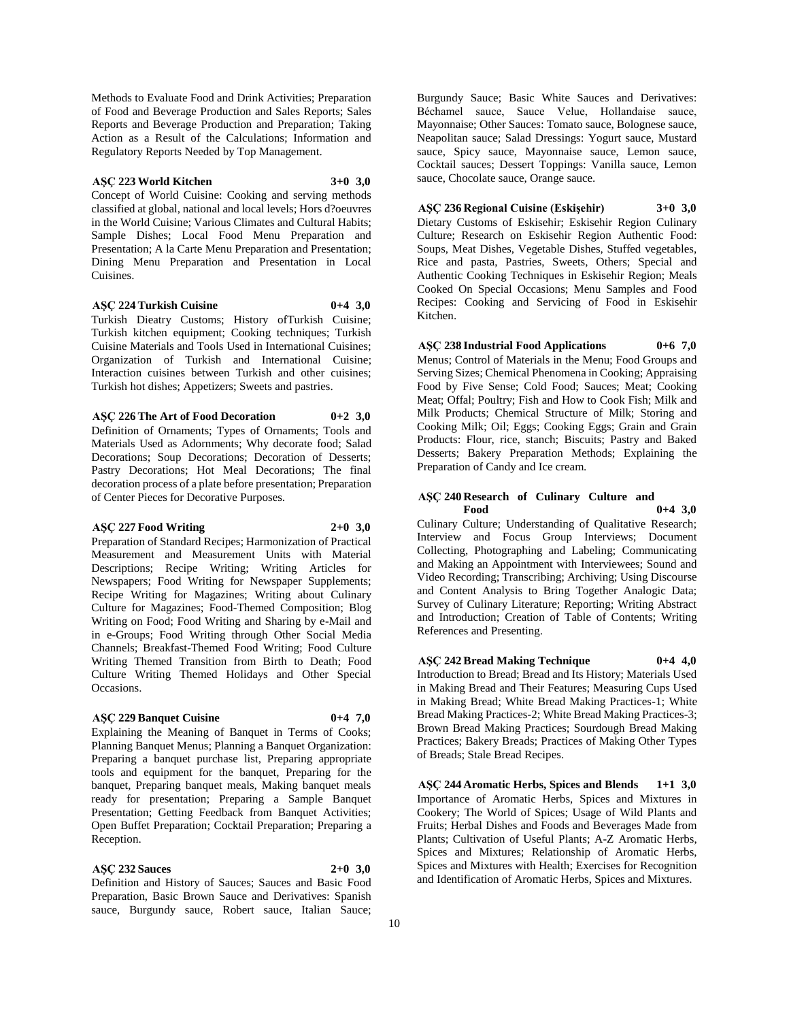Methods to Evaluate Food and Drink Activities; Preparation of Food and Beverage Production and Sales Reports; Sales Reports and Beverage Production and Preparation; Taking Action as a Result of the Calculations; Information and Regulatory Reports Needed by Top Management.

## **AŞÇ 223 World Kitchen 3+0 3,0**

Concept of World Cuisine: Cooking and serving methods classified at global, national and local levels; Hors d?oeuvres in the World Cuisine; Various Climates and Cultural Habits; Sample Dishes; Local Food Menu Preparation and Presentation; A la Carte Menu Preparation and Presentation; Dining Menu Preparation and Presentation in Local Cuisines.

## **AŞÇ 224 Turkish Cuisine 0+4 3,0**

Turkish Dieatry Customs; History ofTurkish Cuisine; Turkish kitchen equipment; Cooking techniques; Turkish Cuisine Materials and Tools Used in International Cuisines; Organization of Turkish and International Cuisine; Interaction cuisines between Turkish and other cuisines; Turkish hot dishes; Appetizers; Sweets and pastries.

## **AŞÇ 226 The Art of Food Decoration 0+2 3,0**

Definition of Ornaments; Types of Ornaments; Tools and Materials Used as Adornments; Why decorate food; Salad Decorations; Soup Decorations; Decoration of Desserts; Pastry Decorations; Hot Meal Decorations; The final decoration process of a plate before presentation; Preparation of Center Pieces for Decorative Purposes.

#### **AŞÇ 227 Food Writing 2+0 3,0**

Preparation of Standard Recipes; Harmonization of Practical Measurement and Measurement Units with Material Descriptions; Recipe Writing; Writing Articles for Newspapers; Food Writing for Newspaper Supplements; Recipe Writing for Magazines; Writing about Culinary Culture for Magazines; Food-Themed Composition; Blog Writing on Food; Food Writing and Sharing by e-Mail and in e-Groups; Food Writing through Other Social Media Channels; Breakfast-Themed Food Writing; Food Culture Writing Themed Transition from Birth to Death; Food Culture Writing Themed Holidays and Other Special Occasions.

#### **AŞÇ 229 Banquet Cuisine 0+4 7,0**

Explaining the Meaning of Banquet in Terms of Cooks; Planning Banquet Menus; Planning a Banquet Organization: Preparing a banquet purchase list, Preparing appropriate tools and equipment for the banquet, Preparing for the banquet, Preparing banquet meals, Making banquet meals ready for presentation; Preparing a Sample Banquet Presentation; Getting Feedback from Banquet Activities; Open Buffet Preparation; Cocktail Preparation; Preparing a Reception.

**AŞÇ 232 Sauces 2+0 3,0**

Definition and History of Sauces; Sauces and Basic Food Preparation, Basic Brown Sauce and Derivatives: Spanish sauce, Burgundy sauce, Robert sauce, Italian Sauce;

Burgundy Sauce; Basic White Sauces and Derivatives: Béchamel sauce, Sauce Velue, Hollandaise sauce, Mayonnaise; Other Sauces: Tomato sauce, Bolognese sauce, Neapolitan sauce; Salad Dressings: Yogurt sauce, Mustard sauce, Spicy sauce, Mayonnaise sauce, Lemon sauce, Cocktail sauces; Dessert Toppings: Vanilla sauce, Lemon sauce, Chocolate sauce, Orange sauce.

# **AŞÇ 236 Regional Cuisine (Eskişehir) 3+0 3,0**

Dietary Customs of Eskisehir; Eskisehir Region Culinary Culture; Research on Eskisehir Region Authentic Food: Soups, Meat Dishes, Vegetable Dishes, Stuffed vegetables, Rice and pasta, Pastries, Sweets, Others; Special and Authentic Cooking Techniques in Eskisehir Region; Meals Cooked On Special Occasions; Menu Samples and Food Recipes: Cooking and Servicing of Food in Eskisehir Kitchen.

**AŞÇ 238 Industrial Food Applications 0+6 7,0** Menus; Control of Materials in the Menu; Food Groups and Serving Sizes; Chemical Phenomena in Cooking; Appraising Food by Five Sense; Cold Food; Sauces; Meat; Cooking Meat; Offal; Poultry; Fish and How to Cook Fish; Milk and Milk Products; Chemical Structure of Milk; Storing and Cooking Milk; Oil; Eggs; Cooking Eggs; Grain and Grain Products: Flour, rice, stanch; Biscuits; Pastry and Baked Desserts; Bakery Preparation Methods; Explaining the Preparation of Candy and Ice cream.

#### **AŞÇ 240 Research of Culinary Culture and Food 0+4 3,0**

Culinary Culture; Understanding of Qualitative Research; Interview and Focus Group Interviews; Document Collecting, Photographing and Labeling; Communicating and Making an Appointment with Interviewees; Sound and Video Recording; Transcribing; Archiving; Using Discourse and Content Analysis to Bring Together Analogic Data; Survey of Culinary Literature; Reporting; Writing Abstract and Introduction; Creation of Table of Contents; Writing References and Presenting.

## **AŞÇ 242 Bread Making Technique 0+4 4,0**

Introduction to Bread; Bread and Its History; Materials Used in Making Bread and Their Features; Measuring Cups Used in Making Bread; White Bread Making Practices-1; White Bread Making Practices-2; White Bread Making Practices-3; Brown Bread Making Practices; Sourdough Bread Making Practices; Bakery Breads; Practices of Making Other Types of Breads; Stale Bread Recipes.

**AŞÇ 244 Aromatic Herbs, Spices and Blends 1+1 3,0** Importance of Aromatic Herbs, Spices and Mixtures in Cookery; The World of Spices; Usage of Wild Plants and Fruits; Herbal Dishes and Foods and Beverages Made from Plants; Cultivation of Useful Plants; A-Z Aromatic Herbs, Spices and Mixtures; Relationship of Aromatic Herbs, Spices and Mixtures with Health; Exercises for Recognition and Identification of Aromatic Herbs, Spices and Mixtures.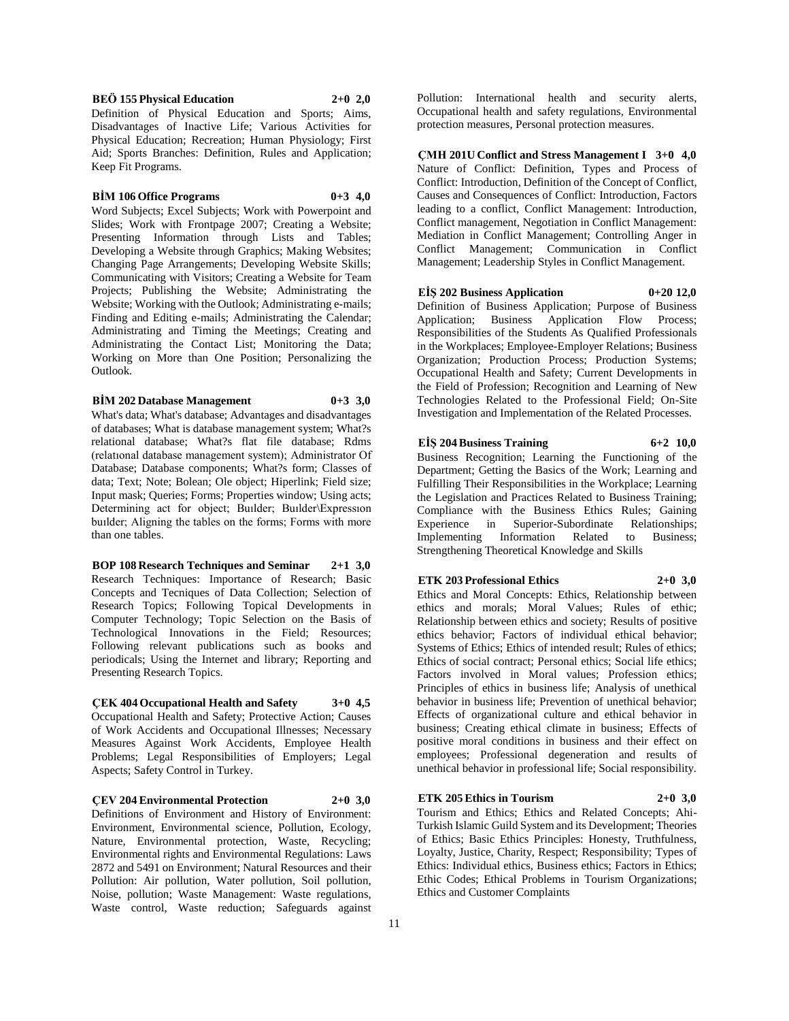**BEÖ 155 Physical Education 2+0 2,0**

Definition of Physical Education and Sports; Aims, Disadvantages of Inactive Life; Various Activities for Physical Education; Recreation; Human Physiology; First Aid; Sports Branches: Definition, Rules and Application; Keep Fit Programs.

#### **BİM 106 Office Programs 0+3 4,0**

Word Subjects; Excel Subjects; Work with Powerpoint and Slides; Work with Frontpage 2007; Creating a Website; Presenting Information through Lists and Tables; Developing a Website through Graphics; Making Websites; Changing Page Arrangements; Developing Website Skills; Communicating with Visitors; Creating a Website for Team Projects; Publishing the Website; Administrating the Website; Working with the Outlook; Administrating e-mails; Finding and Editing e-mails; Administrating the Calendar; Administrating and Timing the Meetings; Creating and Administrating the Contact List; Monitoring the Data; Working on More than One Position; Personalizing the Outlook.

**BİM 202 Database Management 0+3 3,0**

What's data; What's database; Advantages and disadvantages of databases; What is database management system; What?s relational database; What?s flat file database; Rdms (relatıonal database management system); Administrator Of Database; Database components; What?s form; Classes of data; Text; Note; Bolean; Ole object; Hiperlink; Field size; Input mask; Queries; Forms; Properties window; Using acts; Determining act for object; Builder; Builder\Expression buılder; Aligning the tables on the forms; Forms with more than one tables.

**BOP 108 Research Techniques and Seminar 2+1 3,0** Research Techniques: Importance of Research; Basic Concepts and Tecniques of Data Collection; Selection of Research Topics; Following Topical Developments in Computer Technology; Topic Selection on the Basis of Technological Innovations in the Field; Resources; Following relevant publications such as books and periodicals; Using the Internet and library; Reporting and Presenting Research Topics.

**ÇEK 404 Occupational Health and Safety 3+0 4,5** Occupational Health and Safety; Protective Action; Causes of Work Accidents and Occupational Illnesses; Necessary Measures Against Work Accidents, Employee Health Problems; Legal Responsibilities of Employers; Legal Aspects; Safety Control in Turkey.

**ÇEV 204 Environmental Protection 2+0 3,0** Definitions of Environment and History of Environment: Environment, Environmental science, Pollution, Ecology, Nature, Environmental protection, Waste, Recycling; Environmental rights and Environmental Regulations: Laws 2872 and 5491 on Environment; Natural Resources and their Pollution: Air pollution, Water pollution, Soil pollution, Noise, pollution; Waste Management: Waste regulations, Waste control, Waste reduction; Safeguards against

Pollution: International health and security alerts, Occupational health and safety regulations, Environmental protection measures, Personal protection measures.

**ÇMH 201U Conflict and Stress Management I 3+0 4,0** Nature of Conflict: Definition, Types and Process of Conflict: Introduction, Definition of the Concept of Conflict, Causes and Consequences of Conflict: Introduction, Factors leading to a conflict, Conflict Management: Introduction, Conflict management, Negotiation in Conflict Management: Mediation in Conflict Management; Controlling Anger in Conflict Management; Communication in Conflict Management; Leadership Styles in Conflict Management.

## **EİŞ 202 Business Application 0+20 12,0**

Definition of Business Application; Purpose of Business Application; Business Application Flow Process; Responsibilities of the Students As Qualified Professionals in the Workplaces; Employee-Employer Relations; Business Organization; Production Process; Production Systems; Occupational Health and Safety; Current Developments in the Field of Profession; Recognition and Learning of New Technologies Related to the Professional Field; On-Site Investigation and Implementation of the Related Processes.

**EİŞ 204 Business Training 6+2 10,0** Business Recognition; Learning the Functioning of the Department; Getting the Basics of the Work; Learning and Fulfilling Their Responsibilities in the Workplace; Learning the Legislation and Practices Related to Business Training; Compliance with the Business Ethics Rules; Gaining Experience in Superior-Subordinate Relationships; Implementing Information Related to Business; Strengthening Theoretical Knowledge and Skills

#### **ETK 203 Professional Ethics 2+0 3,0**

Ethics and Moral Concepts: Ethics, Relationship between ethics and morals; Moral Values; Rules of ethic; Relationship between ethics and society; Results of positive ethics behavior; Factors of individual ethical behavior; Systems of Ethics; Ethics of intended result; Rules of ethics; Ethics of social contract; Personal ethics; Social life ethics; Factors involved in Moral values; Profession ethics; Principles of ethics in business life; Analysis of unethical behavior in business life; Prevention of unethical behavior; Effects of organizational culture and ethical behavior in business; Creating ethical climate in business; Effects of positive moral conditions in business and their effect on employees; Professional degeneration and results of unethical behavior in professional life; Social responsibility.

#### **ETK 205 Ethics in Tourism 2+0 3,0**

Tourism and Ethics; Ethics and Related Concepts; Ahi-Turkish Islamic Guild System and its Development; Theories of Ethics; Basic Ethics Principles: Honesty, Truthfulness, Loyalty, Justice, Charity, Respect; Responsibility; Types of Ethics: Individual ethics, Business ethics; Factors in Ethics; Ethic Codes; Ethical Problems in Tourism Organizations; Ethics and Customer Complaints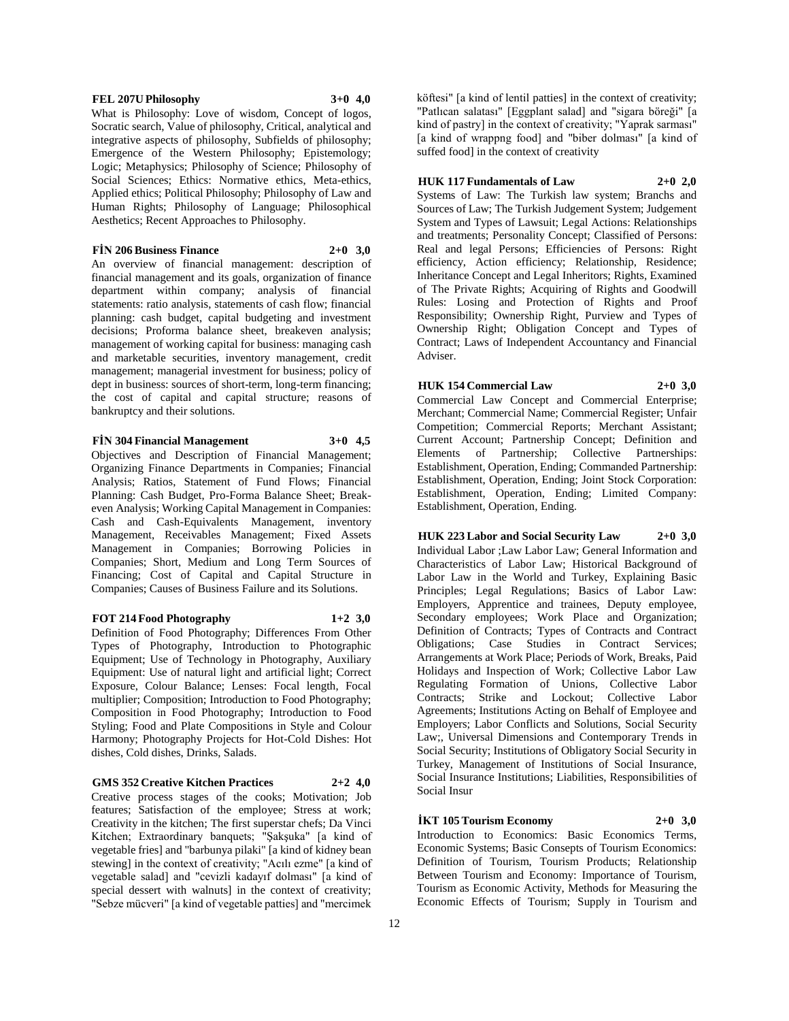#### **FEL 207U Philosophy 3+0 4,0**

What is Philosophy: Love of wisdom, Concept of logos, Socratic search, Value of philosophy, Critical, analytical and integrative aspects of philosophy, Subfields of philosophy; Emergence of the Western Philosophy; Epistemology; Logic; Metaphysics; Philosophy of Science; Philosophy of Social Sciences; Ethics: Normative ethics, Meta-ethics, Applied ethics; Political Philosophy; Philosophy of Law and Human Rights; Philosophy of Language; Philosophical Aesthetics; Recent Approaches to Philosophy.

## **FİN 206 Business Finance 2+0 3,0**

An overview of financial management: description of financial management and its goals, organization of finance department within company; analysis of financial statements: ratio analysis, statements of cash flow; financial planning: cash budget, capital budgeting and investment decisions; Proforma balance sheet, breakeven analysis; management of working capital for business: managing cash and marketable securities, inventory management, credit management; managerial investment for business; policy of dept in business: sources of short-term, long-term financing; the cost of capital and capital structure; reasons of bankruptcy and their solutions.

#### **FİN 304 Financial Management 3+0 4,5**

Objectives and Description of Financial Management; Organizing Finance Departments in Companies; Financial Analysis; Ratios, Statement of Fund Flows; Financial Planning: Cash Budget, Pro-Forma Balance Sheet; Breakeven Analysis; Working Capital Management in Companies: Cash and Cash-Equivalents Management, inventory Management, Receivables Management; Fixed Assets Management in Companies; Borrowing Policies in Companies; Short, Medium and Long Term Sources of Financing; Cost of Capital and Capital Structure in Companies; Causes of Business Failure and its Solutions.

#### **FOT 214 Food Photography 1+2 3,0**

Definition of Food Photography; Differences From Other Types of Photography, Introduction to Photographic Equipment; Use of Technology in Photography, Auxiliary Equipment: Use of natural light and artificial light; Correct Exposure, Colour Balance; Lenses: Focal length, Focal multiplier; Composition; Introduction to Food Photography; Composition in Food Photography; Introduction to Food Styling; Food and Plate Compositions in Style and Colour Harmony; Photography Projects for Hot-Cold Dishes: Hot dishes, Cold dishes, Drinks, Salads.

**GMS 352 Creative Kitchen Practices 2+2 4,0**

Creative process stages of the cooks; Motivation; Job features; Satisfaction of the employee; Stress at work; Creativity in the kitchen; The first superstar chefs; Da Vinci Kitchen; Extraordinary banquets; "Şakşuka" [a kind of vegetable fries] and "barbunya pilaki" [a kind of kidney bean stewing] in the context of creativity; "Acılı ezme" [a kind of vegetable salad] and "cevizli kadayıf dolması" [a kind of special dessert with walnuts] in the context of creativity; "Sebze mücveri" [a kind of vegetable patties] and "mercimek

köftesi" [a kind of lentil patties] in the context of creativity; "Patlıcan salatası" [Eggplant salad] and "sigara böreği" [a kind of pastry] in the context of creativity; "Yaprak sarması" [a kind of wrappng food] and "biber dolması" [a kind of suffed food] in the context of creativity

## **HUK 117 Fundamentals of Law 2+0 2,0**

Systems of Law: The Turkish law system; Branchs and Sources of Law; The Turkish Judgement System; Judgement System and Types of Lawsuit; Legal Actions: Relationships and treatments; Personality Concept; Classified of Persons: Real and legal Persons; Efficiencies of Persons: Right efficiency, Action efficiency; Relationship, Residence; Inheritance Concept and Legal Inheritors; Rights, Examined of The Private Rights; Acquiring of Rights and Goodwill Rules: Losing and Protection of Rights and Proof Responsibility; Ownership Right, Purview and Types of Ownership Right; Obligation Concept and Types of Contract; Laws of Independent Accountancy and Financial Adviser.

## **HUK 154 Commercial Law 2+0 3,0**

Commercial Law Concept and Commercial Enterprise; Merchant; Commercial Name; Commercial Register; Unfair Competition; Commercial Reports; Merchant Assistant; Current Account; Partnership Concept; Definition and Elements of Partnership; Collective Partnerships: Establishment, Operation, Ending; Commanded Partnership: Establishment, Operation, Ending; Joint Stock Corporation: Establishment, Operation, Ending; Limited Company: Establishment, Operation, Ending.

**HUK 223 Labor and Social Security Law 2+0 3,0**

Individual Labor ;Law Labor Law; General Information and Characteristics of Labor Law; Historical Background of Labor Law in the World and Turkey, Explaining Basic Principles; Legal Regulations; Basics of Labor Law: Employers, Apprentice and trainees, Deputy employee, Secondary employees; Work Place and Organization; Definition of Contracts; Types of Contracts and Contract Obligations; Case Studies in Contract Services; Arrangements at Work Place; Periods of Work, Breaks, Paid Holidays and Inspection of Work; Collective Labor Law Regulating Formation of Unions, Collective Labor Contracts; Strike and Lockout; Collective Labor Agreements; Institutions Acting on Behalf of Employee and Employers; Labor Conflicts and Solutions, Social Security Law;, Universal Dimensions and Contemporary Trends in Social Security; Institutions of Obligatory Social Security in Turkey, Management of Institutions of Social Insurance, Social Insurance Institutions; Liabilities, Responsibilities of Social Insur

**İKT 105 Tourism Economy 2+0 3,0** Introduction to Economics: Basic Economics Terms, Economic Systems; Basic Consepts of Tourism Economics: Definition of Tourism, Tourism Products; Relationship Between Tourism and Economy: Importance of Tourism, Tourism as Economic Activity, Methods for Measuring the Economic Effects of Tourism; Supply in Tourism and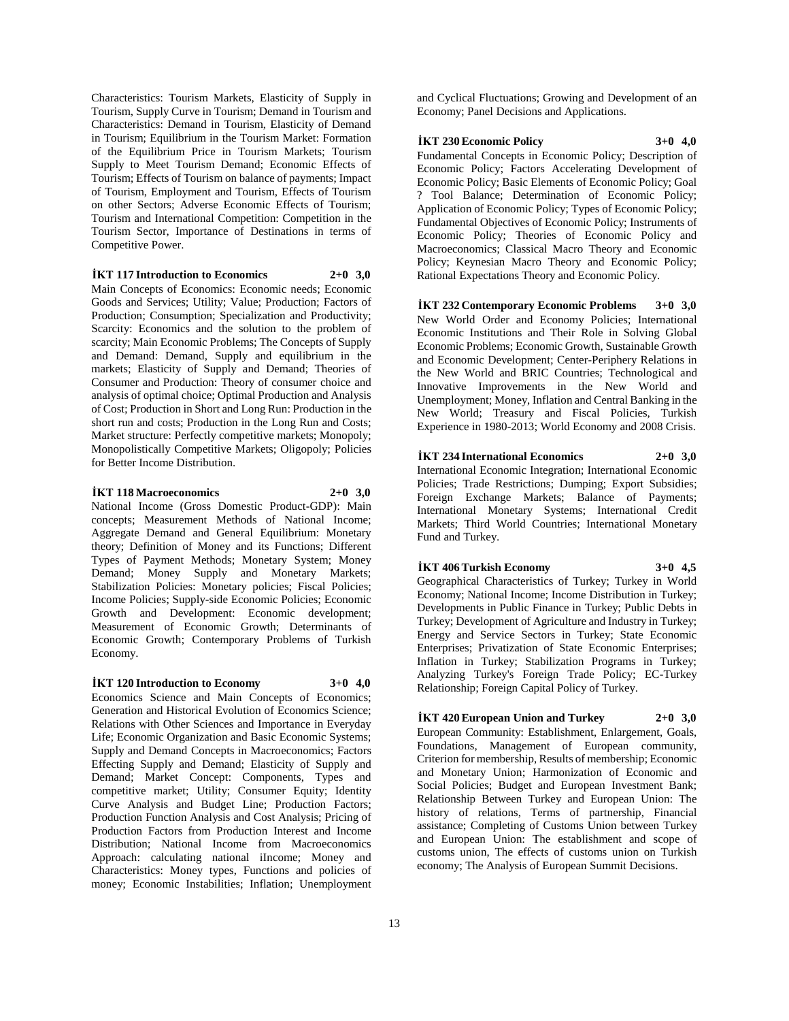Characteristics: Tourism Markets, Elasticity of Supply in Tourism, Supply Curve in Tourism; Demand in Tourism and Characteristics: Demand in Tourism, Elasticity of Demand in Tourism; Equilibrium in the Tourism Market: Formation of the Equilibrium Price in Tourism Markets; Tourism Supply to Meet Tourism Demand; Economic Effects of Tourism; Effects of Tourism on balance of payments; Impact of Tourism, Employment and Tourism, Effects of Tourism on other Sectors; Adverse Economic Effects of Tourism; Tourism and International Competition: Competition in the Tourism Sector, Importance of Destinations in terms of Competitive Power.

#### **İKT 117 Introduction to Economics 2+0 3,0**

Main Concepts of Economics: Economic needs; Economic Goods and Services; Utility; Value; Production; Factors of Production; Consumption; Specialization and Productivity; Scarcity: Economics and the solution to the problem of scarcity; Main Economic Problems; The Concepts of Supply and Demand: Demand, Supply and equilibrium in the markets; Elasticity of Supply and Demand; Theories of Consumer and Production: Theory of consumer choice and analysis of optimal choice; Optimal Production and Analysis of Cost; Production in Short and Long Run: Production in the short run and costs; Production in the Long Run and Costs; Market structure: Perfectly competitive markets; Monopoly; Monopolistically Competitive Markets; Oligopoly; Policies for Better Income Distribution.

#### **İKT 118 Macroeconomics 2+0 3,0**

National Income (Gross Domestic Product-GDP): Main concepts; Measurement Methods of National Income; Aggregate Demand and General Equilibrium: Monetary theory; Definition of Money and its Functions; Different Types of Payment Methods; Monetary System; Money Demand; Money Supply and Monetary Markets; Stabilization Policies: Monetary policies; Fiscal Policies; Income Policies; Supply-side Economic Policies; Economic Growth and Development: Economic development; Measurement of Economic Growth; Determinants of Economic Growth; Contemporary Problems of Turkish Economy.

#### **İKT 120 Introduction to Economy 3+0 4,0**

Economics Science and Main Concepts of Economics; Generation and Historical Evolution of Economics Science; Relations with Other Sciences and Importance in Everyday Life; Economic Organization and Basic Economic Systems; Supply and Demand Concepts in Macroeconomics; Factors Effecting Supply and Demand; Elasticity of Supply and Demand; Market Concept: Components, Types and competitive market; Utility; Consumer Equity; Identity Curve Analysis and Budget Line; Production Factors; Production Function Analysis and Cost Analysis; Pricing of Production Factors from Production Interest and Income Distribution; National Income from Macroeconomics Approach: calculating national iIncome; Money and Characteristics: Money types, Functions and policies of money; Economic Instabilities; Inflation; Unemployment

and Cyclical Fluctuations; Growing and Development of an Economy; Panel Decisions and Applications.

## **İKT 230 Economic Policy 3+0 4,0**

Fundamental Concepts in Economic Policy; Description of Economic Policy; Factors Accelerating Development of Economic Policy; Basic Elements of Economic Policy; Goal ? Tool Balance; Determination of Economic Policy; Application of Economic Policy; Types of Economic Policy; Fundamental Objectives of Economic Policy; Instruments of Economic Policy; Theories of Economic Policy and Macroeconomics; Classical Macro Theory and Economic Policy; Keynesian Macro Theory and Economic Policy; Rational Expectations Theory and Economic Policy.

**İKT 232 Contemporary Economic Problems 3+0 3,0** New World Order and Economy Policies; International Economic Institutions and Their Role in Solving Global Economic Problems; Economic Growth, Sustainable Growth and Economic Development; Center-Periphery Relations in the New World and BRIC Countries; Technological and Innovative Improvements in the New World and Unemployment; Money, Inflation and Central Banking in the New World; Treasury and Fiscal Policies, Turkish Experience in 1980-2013; World Economy and 2008 Crisis.

## **İKT 234 International Economics 2+0 3,0**

International Economic Integration; International Economic Policies; Trade Restrictions; Dumping; Export Subsidies; Foreign Exchange Markets; Balance of Payments; International Monetary Systems; International Credit Markets; Third World Countries; International Monetary Fund and Turkey.

# **İKT 406 Turkish Economy 3+0 4,5**

Geographical Characteristics of Turkey; Turkey in World Economy; National Income; Income Distribution in Turkey; Developments in Public Finance in Turkey; Public Debts in Turkey; Development of Agriculture and Industry in Turkey; Energy and Service Sectors in Turkey; State Economic Enterprises; Privatization of State Economic Enterprises; Inflation in Turkey; Stabilization Programs in Turkey; Analyzing Turkey's Foreign Trade Policy; EC-Turkey Relationship; Foreign Capital Policy of Turkey.

## **İKT 420 European Union and Turkey 2+0 3,0**

European Community: Establishment, Enlargement, Goals, Foundations, Management of European community, Criterion for membership, Results of membership; Economic and Monetary Union; Harmonization of Economic and Social Policies; Budget and European Investment Bank; Relationship Between Turkey and European Union: The history of relations, Terms of partnership, Financial assistance; Completing of Customs Union between Turkey and European Union: The establishment and scope of customs union, The effects of customs union on Turkish economy; The Analysis of European Summit Decisions.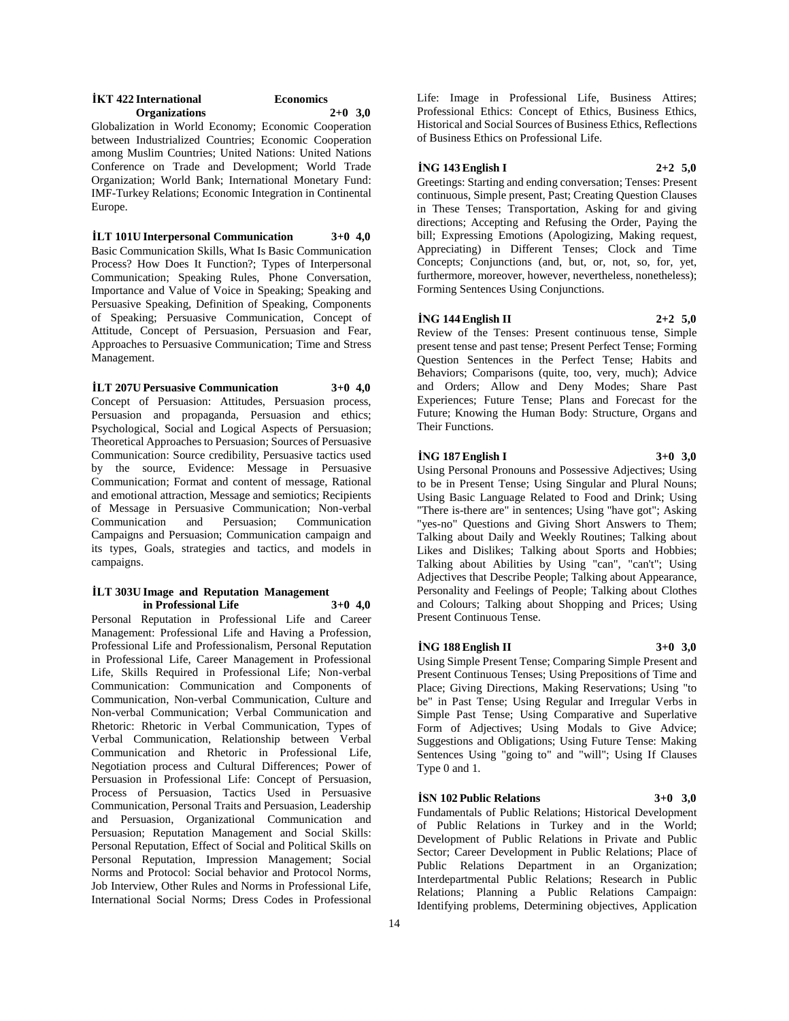| <b>IKT</b> 422 International | <b>Economics</b> |
|------------------------------|------------------|
| <b>Organizations</b>         | $2+0$ 3,0        |

Globalization in World Economy; Economic Cooperation between Industrialized Countries; Economic Cooperation among Muslim Countries; United Nations: United Nations Conference on Trade and Development; World Trade Organization; World Bank; International Monetary Fund: IMF-Turkey Relations; Economic Integration in Continental Europe.

**İLT 101U Interpersonal Communication 3+0 4,0** Basic Communication Skills, What Is Basic Communication Process? How Does It Function?; Types of Interpersonal Communication; Speaking Rules, Phone Conversation, Importance and Value of Voice in Speaking; Speaking and Persuasive Speaking, Definition of Speaking, Components of Speaking; Persuasive Communication, Concept of Attitude, Concept of Persuasion, Persuasion and Fear, Approaches to Persuasive Communication; Time and Stress Management.

#### **İLT 207U Persuasive Communication 3+0 4,0**

Concept of Persuasion: Attitudes, Persuasion process, Persuasion and propaganda, Persuasion and ethics; Psychological, Social and Logical Aspects of Persuasion; Theoretical Approaches to Persuasion; Sources of Persuasive Communication: Source credibility, Persuasive tactics used by the source, Evidence: Message in Persuasive Communication; Format and content of message, Rational and emotional attraction, Message and semiotics; Recipients of Message in Persuasive Communication; Non-verbal Communication and Persuasion; Communication Campaigns and Persuasion; Communication campaign and its types, Goals, strategies and tactics, and models in campaigns.

#### **İLT 303U Image and Reputation Management in Professional Life 3+0 4,0**

Personal Reputation in Professional Life and Career Management: Professional Life and Having a Profession, Professional Life and Professionalism, Personal Reputation in Professional Life, Career Management in Professional Life, Skills Required in Professional Life; Non-verbal Communication: Communication and Components of Communication, Non-verbal Communication, Culture and Non-verbal Communication; Verbal Communication and Rhetoric: Rhetoric in Verbal Communication, Types of Verbal Communication, Relationship between Verbal Communication and Rhetoric in Professional Life, Negotiation process and Cultural Differences; Power of Persuasion in Professional Life: Concept of Persuasion, Process of Persuasion, Tactics Used in Persuasive Communication, Personal Traits and Persuasion, Leadership and Persuasion, Organizational Communication and Persuasion; Reputation Management and Social Skills: Personal Reputation, Effect of Social and Political Skills on Personal Reputation, Impression Management; Social Norms and Protocol: Social behavior and Protocol Norms, Job Interview, Other Rules and Norms in Professional Life, International Social Norms; Dress Codes in Professional

Life: Image in Professional Life, Business Attires; Professional Ethics: Concept of Ethics, Business Ethics, Historical and Social Sources of Business Ethics, Reflections of Business Ethics on Professional Life.

#### **İNG 143 English I 2+2 5,0**

Greetings: Starting and ending conversation; Tenses: Present continuous, Simple present, Past; Creating Question Clauses in These Tenses; Transportation, Asking for and giving directions; Accepting and Refusing the Order, Paying the bill; Expressing Emotions (Apologizing, Making request, Appreciating) in Different Tenses; Clock and Time Concepts; Conjunctions (and, but, or, not, so, for, yet, furthermore, moreover, however, nevertheless, nonetheless); Forming Sentences Using Conjunctions.

#### **İNG 144 English II 2+2 5,0**

Review of the Tenses: Present continuous tense, Simple present tense and past tense; Present Perfect Tense; Forming Question Sentences in the Perfect Tense; Habits and Behaviors; Comparisons (quite, too, very, much); Advice and Orders; Allow and Deny Modes; Share Past Experiences; Future Tense; Plans and Forecast for the Future; Knowing the Human Body: Structure, Organs and Their Functions.

## **İNG 187 English I 3+0 3,0**

Using Personal Pronouns and Possessive Adjectives; Using to be in Present Tense; Using Singular and Plural Nouns; Using Basic Language Related to Food and Drink; Using "There is-there are" in sentences; Using "have got"; Asking "yes-no" Questions and Giving Short Answers to Them; Talking about Daily and Weekly Routines; Talking about Likes and Dislikes; Talking about Sports and Hobbies; Talking about Abilities by Using "can", "can't"; Using Adjectives that Describe People; Talking about Appearance, Personality and Feelings of People; Talking about Clothes and Colours; Talking about Shopping and Prices; Using Present Continuous Tense.

#### **İNG 188 English II 3+0 3,0**

Using Simple Present Tense; Comparing Simple Present and Present Continuous Tenses; Using Prepositions of Time and Place; Giving Directions, Making Reservations; Using "to be" in Past Tense; Using Regular and Irregular Verbs in Simple Past Tense; Using Comparative and Superlative Form of Adjectives; Using Modals to Give Advice; Suggestions and Obligations; Using Future Tense: Making Sentences Using "going to" and "will"; Using If Clauses Type 0 and 1.

#### **İSN 102 Public Relations 3+0 3,0**

Fundamentals of Public Relations; Historical Development of Public Relations in Turkey and in the World; Development of Public Relations in Private and Public Sector; Career Development in Public Relations; Place of Public Relations Department in an Organization; Interdepartmental Public Relations; Research in Public Relations; Planning a Public Relations Campaign: Identifying problems, Determining objectives, Application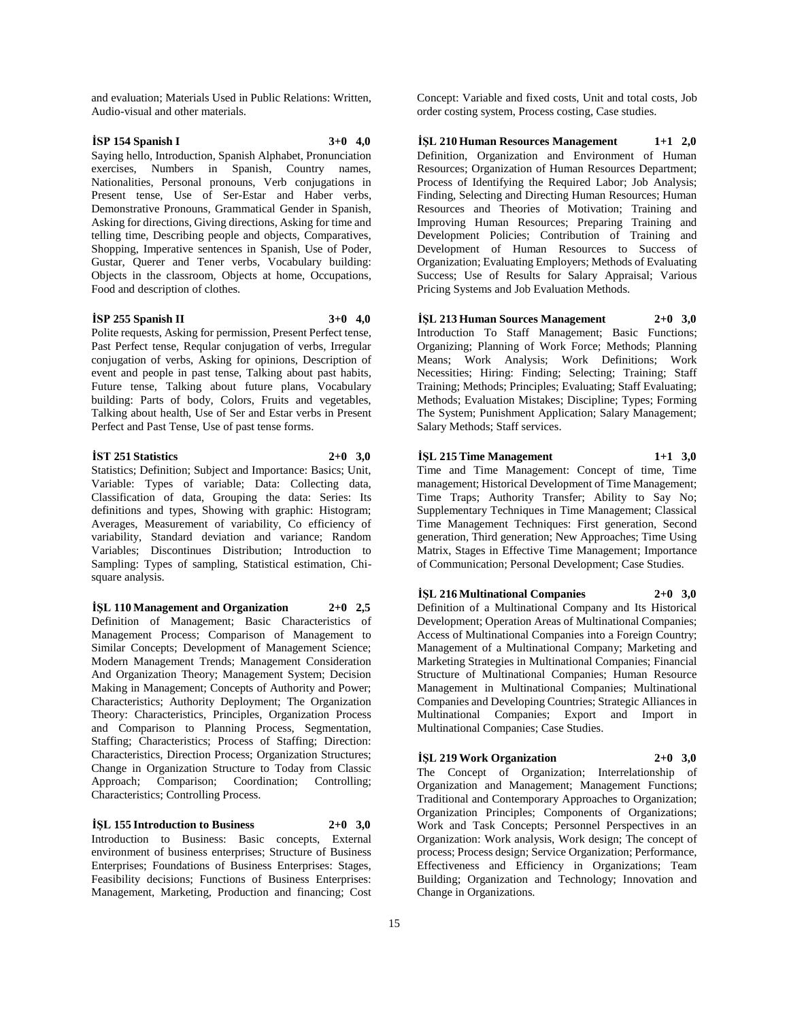and evaluation; Materials Used in Public Relations: Written, Audio-visual and other materials.

## **İSP 154 Spanish I 3+0 4,0**

Saying hello, Introduction, Spanish Alphabet, Pronunciation exercises, Numbers in Spanish, Country names, Nationalities, Personal pronouns, Verb conjugations in Present tense, Use of Ser-Estar and Haber verbs, Demonstrative Pronouns, Grammatical Gender in Spanish, Asking for directions, Giving directions, Asking for time and telling time, Describing people and objects, Comparatives, Shopping, Imperative sentences in Spanish, Use of Poder, Gustar, Querer and Tener verbs, Vocabulary building: Objects in the classroom, Objects at home, Occupations, Food and description of clothes.

### **İSP 255 Spanish II 3+0 4,0**

Polite requests, Asking for permission, Present Perfect tense, Past Perfect tense, Reqular conjugation of verbs, Irregular conjugation of verbs, Asking for opinions, Description of event and people in past tense, Talking about past habits, Future tense, Talking about future plans, Vocabulary building: Parts of body, Colors, Fruits and vegetables, Talking about health, Use of Ser and Estar verbs in Present Perfect and Past Tense, Use of past tense forms.

## **İST 251 Statistics 2+0 3,0**

Statistics; Definition; Subject and Importance: Basics; Unit, Variable: Types of variable; Data: Collecting data, Classification of data, Grouping the data: Series: Its definitions and types, Showing with graphic: Histogram; Averages, Measurement of variability, Co efficiency of variability, Standard deviation and variance; Random Variables; Discontinues Distribution; Introduction to Sampling: Types of sampling, Statistical estimation, Chisquare analysis.

**İŞL 110 Management and Organization 2+0 2,5** Definition of Management; Basic Characteristics of Management Process; Comparison of Management to Similar Concepts; Development of Management Science; Modern Management Trends; Management Consideration And Organization Theory; Management System; Decision Making in Management; Concepts of Authority and Power; Characteristics; Authority Deployment; The Organization Theory: Characteristics, Principles, Organization Process and Comparison to Planning Process, Segmentation, Staffing; Characteristics; Process of Staffing; Direction: Characteristics, Direction Process; Organization Structures; Change in Organization Structure to Today from Classic Approach; Comparison; Coordination; Controlling; Characteristics; Controlling Process.

**İŞL 155 Introduction to Business 2+0 3,0** Introduction to Business: Basic concepts, External environment of business enterprises; Structure of Business Enterprises; Foundations of Business Enterprises: Stages, Feasibility decisions; Functions of Business Enterprises: Management, Marketing, Production and financing; Cost

Concept: Variable and fixed costs, Unit and total costs, Job order costing system, Process costing, Case studies.

**İŞL 210 Human Resources Management 1+1 2,0** Definition, Organization and Environment of Human Resources; Organization of Human Resources Department; Process of Identifying the Required Labor; Job Analysis; Finding, Selecting and Directing Human Resources; Human Resources and Theories of Motivation; Training and Improving Human Resources; Preparing Training and Development Policies; Contribution of Training and Development of Human Resources to Success of Organization; Evaluating Employers; Methods of Evaluating Success; Use of Results for Salary Appraisal; Various Pricing Systems and Job Evaluation Methods.

**İŞL 213 Human Sources Management 2+0 3,0** Introduction To Staff Management; Basic Functions; Organizing; Planning of Work Force; Methods; Planning Means; Work Analysis; Work Definitions; Work Necessities; Hiring: Finding; Selecting; Training; Staff Training; Methods; Principles; Evaluating; Staff Evaluating; Methods; Evaluation Mistakes; Discipline; Types; Forming The System; Punishment Application; Salary Management; Salary Methods; Staff services.

## **İŞL 215 Time Management 1+1 3,0**

Time and Time Management: Concept of time, Time management; Historical Development of Time Management; Time Traps; Authority Transfer; Ability to Say No; Supplementary Techniques in Time Management; Classical Time Management Techniques: First generation, Second generation, Third generation; New Approaches; Time Using Matrix, Stages in Effective Time Management; Importance of Communication; Personal Development; Case Studies.

**İŞL 216 Multinational Companies 2+0 3,0**

Definition of a Multinational Company and Its Historical Development; Operation Areas of Multinational Companies; Access of Multinational Companies into a Foreign Country; Management of a Multinational Company; Marketing and Marketing Strategies in Multinational Companies; Financial Structure of Multinational Companies; Human Resource Management in Multinational Companies; Multinational Companies and Developing Countries; Strategic Alliances in Multinational Companies; Export and Import in Multinational Companies; Case Studies.

#### **İŞL 219 Work Organization 2+0 3,0**

The Concept of Organization; Interrelationship of Organization and Management; Management Functions; Traditional and Contemporary Approaches to Organization; Organization Principles; Components of Organizations; Work and Task Concepts; Personnel Perspectives in an Organization: Work analysis, Work design; The concept of process; Process design; Service Organization; Performance, Effectiveness and Efficiency in Organizations; Team Building; Organization and Technology; Innovation and Change in Organizations.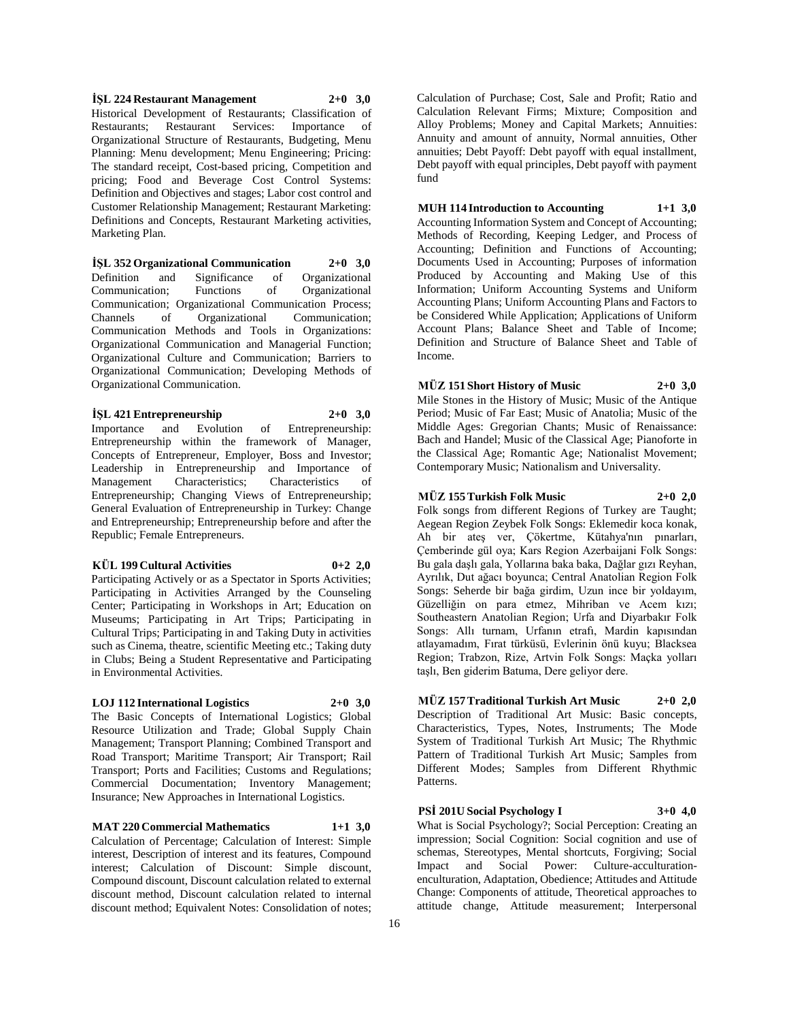**İŞL 224 Restaurant Management 2+0 3,0** Historical Development of Restaurants; Classification of Restaurants; Restaurant Services: Importance of Organizational Structure of Restaurants, Budgeting, Menu Planning: Menu development; Menu Engineering; Pricing: The standard receipt, Cost-based pricing, Competition and pricing; Food and Beverage Cost Control Systems: Definition and Objectives and stages; Labor cost control and Customer Relationship Management; Restaurant Marketing: Definitions and Concepts, Restaurant Marketing activities, Marketing Plan.

**İŞL 352 Organizational Communication 2+0 3,0** Definition and Significance of Organizational Communication; Functions of Organizational Communication; Organizational Communication Process; Channels of Organizational Communication; Communication Methods and Tools in Organizations: Organizational Communication and Managerial Function; Organizational Culture and Communication; Barriers to Organizational Communication; Developing Methods of Organizational Communication.

#### **İŞL 421 Entrepreneurship 2+0 3,0** Importance and Evolution of Entrepreneurship: Entrepreneurship within the framework of Manager, Concepts of Entrepreneur, Employer, Boss and Investor; Leadership in Entrepreneurship and Importance of Management Characteristics; Characteristics of

Entrepreneurship; Changing Views of Entrepreneurship; General Evaluation of Entrepreneurship in Turkey: Change and Entrepreneurship; Entrepreneurship before and after the Republic; Female Entrepreneurs.

#### **KÜL 199 Cultural Activities 0+2 2,0**

Participating Actively or as a Spectator in Sports Activities; Participating in Activities Arranged by the Counseling Center; Participating in Workshops in Art; Education on Museums; Participating in Art Trips; Participating in Cultural Trips; Participating in and Taking Duty in activities such as Cinema, theatre, scientific Meeting etc.; Taking duty in Clubs; Being a Student Representative and Participating in Environmental Activities.

# **LOJ 112 International Logistics 2+0 3,0**

The Basic Concepts of International Logistics; Global Resource Utilization and Trade; Global Supply Chain Management; Transport Planning; Combined Transport and Road Transport; Maritime Transport; Air Transport; Rail Transport; Ports and Facilities; Customs and Regulations; Commercial Documentation; Inventory Management; Insurance; New Approaches in International Logistics.

**MAT 220 Commercial Mathematics 1+1 3,0** Calculation of Percentage; Calculation of Interest: Simple interest, Description of interest and its features, Compound interest; Calculation of Discount: Simple discount, Compound discount, Discount calculation related to external discount method, Discount calculation related to internal discount method; Equivalent Notes: Consolidation of notes;

Calculation of Purchase; Cost, Sale and Profit; Ratio and Calculation Relevant Firms; Mixture; Composition and Alloy Problems; Money and Capital Markets; Annuities: Annuity and amount of annuity, Normal annuities, Other annuities; Debt Payoff: Debt payoff with equal installment, Debt payoff with equal principles, Debt payoff with payment fund

## **MUH 114 Introduction to Accounting 1+1 3,0**

Accounting Information System and Concept of Accounting; Methods of Recording, Keeping Ledger, and Process of Accounting; Definition and Functions of Accounting; Documents Used in Accounting; Purposes of information Produced by Accounting and Making Use of this Information; Uniform Accounting Systems and Uniform Accounting Plans; Uniform Accounting Plans and Factors to be Considered While Application; Applications of Uniform Account Plans; Balance Sheet and Table of Income; Definition and Structure of Balance Sheet and Table of Income.

## **MÜZ 151 Short History of Music 2+0 3,0**

Mile Stones in the History of Music; Music of the Antique Period; Music of Far East; Music of Anatolia; Music of the Middle Ages: Gregorian Chants; Music of Renaissance: Bach and Handel; Music of the Classical Age; Pianoforte in the Classical Age; Romantic Age; Nationalist Movement; Contemporary Music; Nationalism and Universality.

## **MÜZ 155 Turkish Folk Music 2+0 2,0**

Folk songs from different Regions of Turkey are Taught; Aegean Region Zeybek Folk Songs: Eklemedir koca konak, Ah bir ateş ver, Çökertme, Kütahya'nın pınarları, Çemberinde gül oya; Kars Region Azerbaijani Folk Songs: Bu gala daşlı gala, Yollarına baka baka, Dağlar gızı Reyhan, Ayrılık, Dut ağacı boyunca; Central Anatolian Region Folk Songs: Seherde bir bağa girdim, Uzun ince bir yoldayım, Güzelliğin on para etmez, Mihriban ve Acem kızı; Southeastern Anatolian Region; Urfa and Diyarbakır Folk Songs: Allı turnam, Urfanın etrafı, Mardin kapısından atlayamadım, Fırat türküsü, Evlerinin önü kuyu; Blacksea Region; Trabzon, Rize, Artvin Folk Songs: Maçka yolları taşlı, Ben giderim Batuma, Dere geliyor dere.

**MÜZ 157 Traditional Turkish Art Music 2+0 2,0** Description of Traditional Art Music: Basic concepts, Characteristics, Types, Notes, Instruments; The Mode System of Traditional Turkish Art Music; The Rhythmic Pattern of Traditional Turkish Art Music; Samples from Different Modes; Samples from Different Rhythmic Patterns.

**PSİ 201U Social Psychology I 3+0 4,0** What is Social Psychology?; Social Perception: Creating an impression; Social Cognition: Social cognition and use of schemas, Stereotypes, Mental shortcuts, Forgiving; Social Impact and Social Power: Culture-acculturationenculturation, Adaptation, Obedience; Attitudes and Attitude Change: Components of attitude, Theoretical approaches to attitude change, Attitude measurement; Interpersonal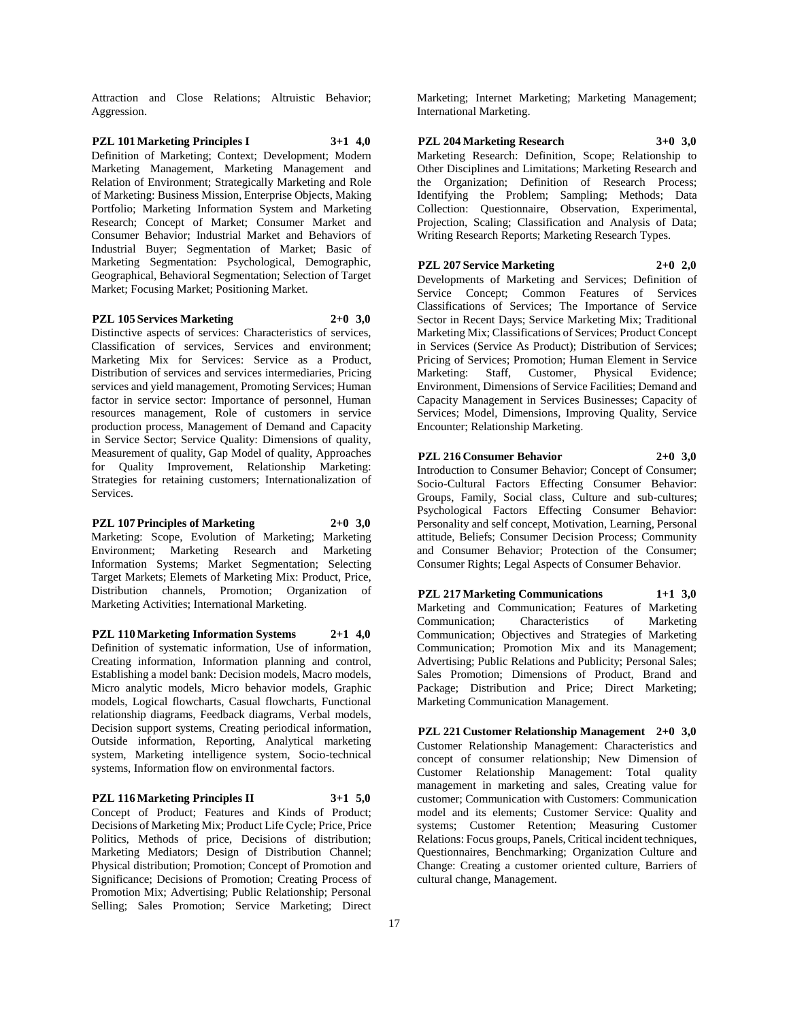Attraction and Close Relations; Altruistic Behavior; Aggression.

**PZL 101 Marketing Principles I 3+1 4,0** Definition of Marketing; Context; Development; Modern Marketing Management, Marketing Management and Relation of Environment; Strategically Marketing and Role of Marketing: Business Mission, Enterprise Objects, Making Portfolio; Marketing Information System and Marketing Research; Concept of Market; Consumer Market and Consumer Behavior; Industrial Market and Behaviors of Industrial Buyer; Segmentation of Market; Basic of Marketing Segmentation: Psychological, Demographic, Geographical, Behavioral Segmentation; Selection of Target Market; Focusing Market; Positioning Market.

#### **PZL 105 Services Marketing 2+0 3,0**

Distinctive aspects of services: Characteristics of services, Classification of services, Services and environment; Marketing Mix for Services: Service as a Product, Distribution of services and services intermediaries, Pricing services and yield management, Promoting Services; Human factor in service sector: Importance of personnel, Human resources management, Role of customers in service production process, Management of Demand and Capacity in Service Sector; Service Quality: Dimensions of quality, Measurement of quality, Gap Model of quality, Approaches for Quality Improvement, Relationship Marketing: Strategies for retaining customers; Internationalization of Services.

**PZL 107 Principles of Marketing 2+0 3,0** Marketing: Scope, Evolution of Marketing; Marketing Environment; Marketing Research and Marketing Information Systems; Market Segmentation; Selecting Target Markets; Elemets of Marketing Mix: Product, Price, Distribution channels, Promotion; Organization of Marketing Activities; International Marketing.

**PZL 110 Marketing Information Systems 2+1 4,0** Definition of systematic information, Use of information, Creating information, Information planning and control, Establishing a model bank: Decision models, Macro models, Micro analytic models, Micro behavior models, Graphic models, Logical flowcharts, Casual flowcharts, Functional relationship diagrams, Feedback diagrams, Verbal models, Decision support systems, Creating periodical information, Outside information, Reporting, Analytical marketing system, Marketing intelligence system, Socio-technical systems, Information flow on environmental factors.

#### **PZL 116 Marketing Principles II 3+1 5,0**

Concept of Product; Features and Kinds of Product; Decisions of Marketing Mix; Product Life Cycle; Price, Price Politics, Methods of price, Decisions of distribution; Marketing Mediators; Design of Distribution Channel; Physical distribution; Promotion; Concept of Promotion and Significance; Decisions of Promotion; Creating Process of Promotion Mix; Advertising; Public Relationship; Personal Selling; Sales Promotion; Service Marketing; Direct

Marketing; Internet Marketing; Marketing Management; International Marketing.

#### **PZL 204 Marketing Research 3+0 3,0**

Marketing Research: Definition, Scope; Relationship to Other Disciplines and Limitations; Marketing Research and the Organization; Definition of Research Process; Identifying the Problem; Sampling; Methods; Data Collection: Questionnaire, Observation, Experimental, Projection, Scaling; Classification and Analysis of Data; Writing Research Reports; Marketing Research Types.

#### **PZL 207 Service Marketing 2+0 2,0** Developments of Marketing and Services; Definition of

Service Concept; Common Features of Services Classifications of Services; The Importance of Service Sector in Recent Days; Service Marketing Mix; Traditional Marketing Mix; Classifications of Services; Product Concept in Services (Service As Product); Distribution of Services; Pricing of Services; Promotion; Human Element in Service Marketing: Staff, Customer, Physical Evidence; Environment, Dimensions of Service Facilities; Demand and Capacity Management in Services Businesses; Capacity of Services; Model, Dimensions, Improving Quality, Service Encounter; Relationship Marketing.

## **PZL 216 Consumer Behavior 2+0 3,0**

Introduction to Consumer Behavior; Concept of Consumer; Socio-Cultural Factors Effecting Consumer Behavior: Groups, Family, Social class, Culture and sub-cultures; Psychological Factors Effecting Consumer Behavior: Personality and self concept, Motivation, Learning, Personal attitude, Beliefs; Consumer Decision Process; Community and Consumer Behavior; Protection of the Consumer; Consumer Rights; Legal Aspects of Consumer Behavior.

## **PZL 217 Marketing Communications 1+1 3,0**

Marketing and Communication; Features of Marketing Communication; Characteristics of Communication; Objectives and Strategies of Marketing Communication; Promotion Mix and its Management; Advertising; Public Relations and Publicity; Personal Sales; Sales Promotion; Dimensions of Product, Brand and Package; Distribution and Price; Direct Marketing; Marketing Communication Management.

**PZL 221 Customer Relationship Management 2+0 3,0** Customer Relationship Management: Characteristics and concept of consumer relationship; New Dimension of Customer Relationship Management: Total quality management in marketing and sales, Creating value for customer; Communication with Customers: Communication model and its elements; Customer Service: Quality and systems; Customer Retention; Measuring Customer Relations: Focus groups, Panels, Critical incident techniques, Questionnaires, Benchmarking; Organization Culture and Change: Creating a customer oriented culture, Barriers of cultural change, Management.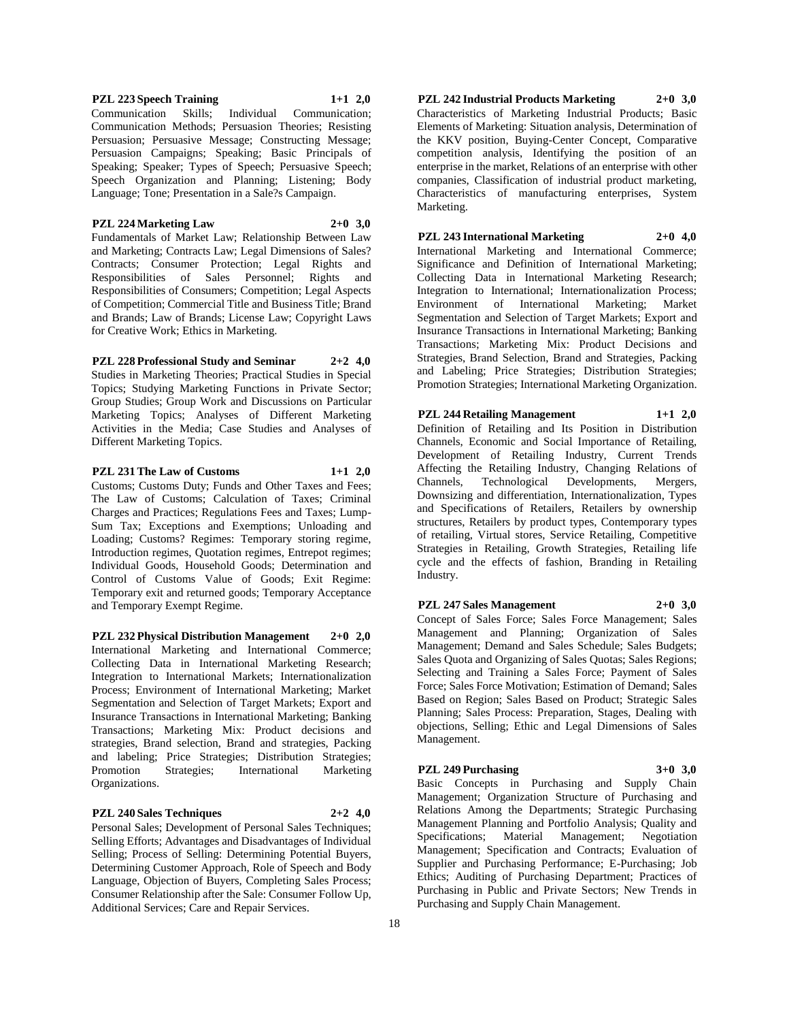**PZL 223 Speech Training 1+1 2,0**

Communication Skills; Individual Communication; Communication Methods; Persuasion Theories; Resisting Persuasion; Persuasive Message; Constructing Message; Persuasion Campaigns; Speaking; Basic Principals of Speaking; Speaker; Types of Speech; Persuasive Speech; Speech Organization and Planning; Listening; Body Language; Tone; Presentation in a Sale?s Campaign.

## **PZL 224 Marketing Law 2+0 3,0**

Fundamentals of Market Law; Relationship Between Law and Marketing; Contracts Law; Legal Dimensions of Sales? Contracts; Consumer Protection; Legal Rights and Responsibilities of Sales Personnel; Rights and Responsibilities of Consumers; Competition; Legal Aspects of Competition; Commercial Title and Business Title; Brand and Brands; Law of Brands; License Law; Copyright Laws for Creative Work; Ethics in Marketing.

# **PZL 228 Professional Study and Seminar 2+2 4,0**

Studies in Marketing Theories; Practical Studies in Special Topics; Studying Marketing Functions in Private Sector; Group Studies; Group Work and Discussions on Particular Marketing Topics; Analyses of Different Marketing Activities in the Media; Case Studies and Analyses of Different Marketing Topics.

# **PZL 231 The Law of Customs 1+1 2,0**

Customs; Customs Duty; Funds and Other Taxes and Fees; The Law of Customs; Calculation of Taxes; Criminal Charges and Practices; Regulations Fees and Taxes; Lump-Sum Tax; Exceptions and Exemptions; Unloading and Loading; Customs? Regimes: Temporary storing regime, Introduction regimes, Quotation regimes, Entrepot regimes; Individual Goods, Household Goods; Determination and Control of Customs Value of Goods; Exit Regime: Temporary exit and returned goods; Temporary Acceptance and Temporary Exempt Regime.

**PZL 232 Physical Distribution Management 2+0 2,0** International Marketing and International Commerce; Collecting Data in International Marketing Research; Integration to International Markets; Internationalization Process; Environment of International Marketing; Market Segmentation and Selection of Target Markets; Export and Insurance Transactions in International Marketing; Banking Transactions; Marketing Mix: Product decisions and strategies, Brand selection, Brand and strategies, Packing and labeling; Price Strategies; Distribution Strategies; Promotion Strategies; International Marketing Organizations.

## **PZL 240 Sales Techniques 2+2 4,0**

Personal Sales; Development of Personal Sales Techniques; Selling Efforts; Advantages and Disadvantages of Individual Selling; Process of Selling: Determining Potential Buyers, Determining Customer Approach, Role of Speech and Body Language, Objection of Buyers, Completing Sales Process; Consumer Relationship after the Sale: Consumer Follow Up, Additional Services; Care and Repair Services.

**PZL 242 Industrial Products Marketing 2+0 3,0** Characteristics of Marketing Industrial Products; Basic Elements of Marketing: Situation analysis, Determination of the KKV position, Buying-Center Concept, Comparative competition analysis, Identifying the position of an enterprise in the market, Relations of an enterprise with other companies, Classification of industrial product marketing, Characteristics of manufacturing enterprises, System Marketing.

**PZL 243 International Marketing 2+0 4,0** International Marketing and International Commerce; Significance and Definition of International Marketing; Collecting Data in International Marketing Research; Integration to International; Internationalization Process; Environment of International Marketing; Market Segmentation and Selection of Target Markets; Export and Insurance Transactions in International Marketing; Banking Transactions; Marketing Mix: Product Decisions and Strategies, Brand Selection, Brand and Strategies, Packing and Labeling; Price Strategies; Distribution Strategies; Promotion Strategies; International Marketing Organization.

#### **PZL 244 Retailing Management 1+1 2,0** Definition of Retailing and Its Position in Distribution

Channels, Economic and Social Importance of Retailing, Development of Retailing Industry, Current Trends Affecting the Retailing Industry, Changing Relations of Channels, Technological Developments, Mergers, Downsizing and differentiation, Internationalization, Types and Specifications of Retailers, Retailers by ownership structures, Retailers by product types, Contemporary types of retailing, Virtual stores, Service Retailing, Competitive Strategies in Retailing, Growth Strategies, Retailing life cycle and the effects of fashion, Branding in Retailing Industry.

# **PZL 247 Sales Management 2+0 3,0**

Concept of Sales Force; Sales Force Management; Sales Management and Planning; Organization of Sales Management; Demand and Sales Schedule; Sales Budgets; Sales Quota and Organizing of Sales Quotas; Sales Regions; Selecting and Training a Sales Force; Payment of Sales Force; Sales Force Motivation; Estimation of Demand; Sales Based on Region; Sales Based on Product; Strategic Sales Planning; Sales Process: Preparation, Stages, Dealing with objections, Selling; Ethic and Legal Dimensions of Sales Management.

## **PZL 249 Purchasing 3+0 3,0**

Basic Concepts in Purchasing and Supply Chain Management; Organization Structure of Purchasing and Relations Among the Departments; Strategic Purchasing Management Planning and Portfolio Analysis; Quality and Specifications; Material Management; Negotiation Management; Specification and Contracts; Evaluation of Supplier and Purchasing Performance; E-Purchasing; Job Ethics; Auditing of Purchasing Department; Practices of Purchasing in Public and Private Sectors; New Trends in Purchasing and Supply Chain Management.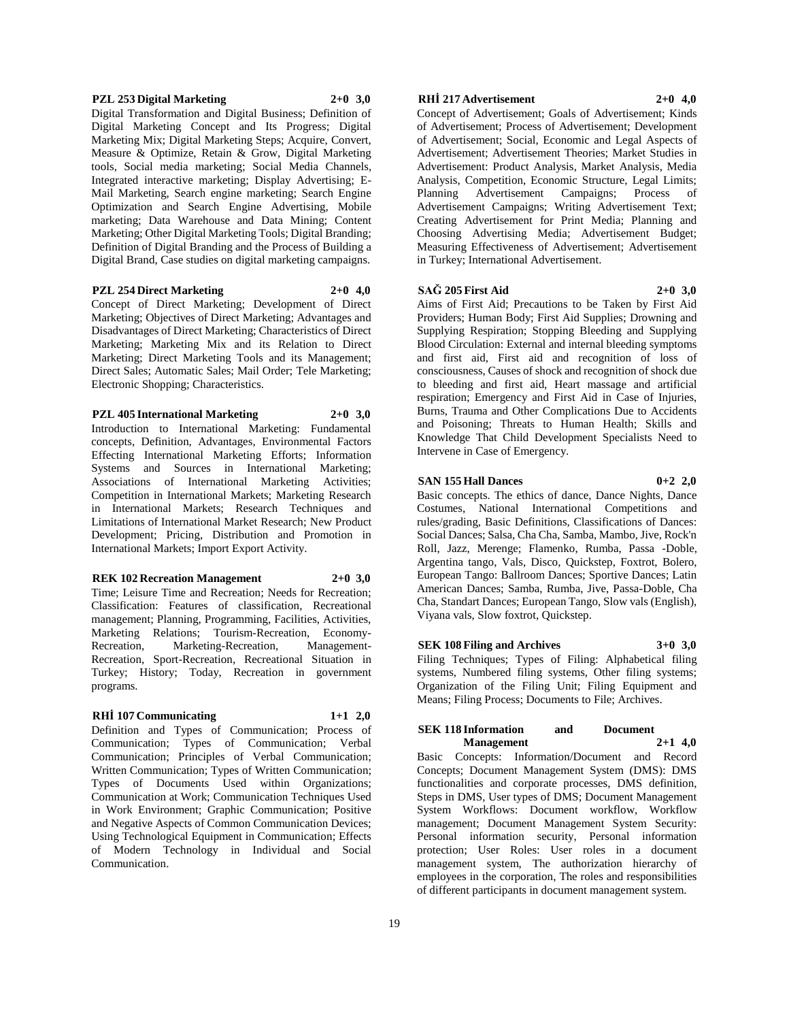#### **PZL 253 Digital Marketing 2+0 3,0**

Digital Transformation and Digital Business; Definition of Digital Marketing Concept and Its Progress; Digital Marketing Mix; Digital Marketing Steps; Acquire, Convert, Measure & Optimize, Retain & Grow, Digital Marketing tools, Social media marketing; Social Media Channels, Integrated interactive marketing; Display Advertising; E-Mail Marketing, Search engine marketing; Search Engine Optimization and Search Engine Advertising, Mobile marketing; Data Warehouse and Data Mining; Content Marketing; Other Digital Marketing Tools; Digital Branding; Definition of Digital Branding and the Process of Building a Digital Brand, Case studies on digital marketing campaigns.

## **PZL 254 Direct Marketing 2+0 4,0**

Concept of Direct Marketing; Development of Direct Marketing; Objectives of Direct Marketing; Advantages and Disadvantages of Direct Marketing; Characteristics of Direct Marketing; Marketing Mix and its Relation to Direct Marketing; Direct Marketing Tools and its Management; Direct Sales; Automatic Sales; Mail Order; Tele Marketing; Electronic Shopping; Characteristics.

#### **PZL 405 International Marketing 2+0 3,0**

Introduction to International Marketing: Fundamental concepts, Definition, Advantages, Environmental Factors Effecting International Marketing Efforts; Information Systems and Sources in International Marketing; Associations of International Marketing Activities; Competition in International Markets; Marketing Research in International Markets; Research Techniques and Limitations of International Market Research; New Product Development; Pricing, Distribution and Promotion in International Markets; Import Export Activity.

#### **REK 102 Recreation Management 2+0 3,0**

Time; Leisure Time and Recreation; Needs for Recreation; Classification: Features of classification, Recreational management; Planning, Programming, Facilities, Activities, Marketing Relations; Tourism-Recreation, Economy-Recreation, Marketing-Recreation, Management-Recreation, Sport-Recreation, Recreational Situation in Turkey; History; Today, Recreation in government programs.

#### **RHİ 107 Communicating 1+1 2,0**

Definition and Types of Communication; Process of Communication; Types of Communication; Verbal Communication; Principles of Verbal Communication; Written Communication; Types of Written Communication; Types of Documents Used within Organizations; Communication at Work; Communication Techniques Used in Work Environment; Graphic Communication; Positive and Negative Aspects of Common Communication Devices; Using Technological Equipment in Communication; Effects of Modern Technology in Individual and Social Communication.

#### **RHİ 217 Advertisement 2+0 4,0**

Concept of Advertisement; Goals of Advertisement; Kinds of Advertisement; Process of Advertisement; Development of Advertisement; Social, Economic and Legal Aspects of Advertisement; Advertisement Theories; Market Studies in Advertisement: Product Analysis, Market Analysis, Media Analysis, Competition, Economic Structure, Legal Limits; Planning Advertisement Campaigns; Process of Advertisement Campaigns; Writing Advertisement Text; Creating Advertisement for Print Media; Planning and Choosing Advertising Media; Advertisement Budget; Measuring Effectiveness of Advertisement; Advertisement in Turkey; International Advertisement.

#### **SAĞ 205 First Aid 2+0 3,0**

Aims of First Aid; Precautions to be Taken by First Aid Providers; Human Body; First Aid Supplies; Drowning and Supplying Respiration; Stopping Bleeding and Supplying Blood Circulation: External and internal bleeding symptoms and first aid, First aid and recognition of loss of consciousness, Causes of shock and recognition of shock due to bleeding and first aid, Heart massage and artificial respiration; Emergency and First Aid in Case of Injuries, Burns, Trauma and Other Complications Due to Accidents and Poisoning; Threats to Human Health; Skills and Knowledge That Child Development Specialists Need to Intervene in Case of Emergency.

#### **SAN 155 Hall Dances 0+2 2,0**

Basic concepts. The ethics of dance, Dance Nights, Dance Costumes, National International Competitions and rules/grading, Basic Definitions, Classifications of Dances: Social Dances; Salsa, Cha Cha, Samba, Mambo, Jive, Rock'n Roll, Jazz, Merenge; Flamenko, Rumba, Passa -Doble, Argentina tango, Vals, Disco, Quickstep, Foxtrot, Bolero, European Tango: Ballroom Dances; Sportive Dances; Latin American Dances; Samba, Rumba, Jive, Passa-Doble, Cha Cha, Standart Dances; European Tango, Slow vals (English), Viyana vals, Slow foxtrot, Quickstep.

#### **SEK 108 Filing and Archives 3+0 3,0**

Filing Techniques; Types of Filing: Alphabetical filing systems, Numbered filing systems, Other filing systems; Organization of the Filing Unit; Filing Equipment and Means; Filing Process; Documents to File; Archives.

#### **SEK 118 Information and Document Management 2+1 4,0**

Basic Concepts: Information/Document and Record Concepts; Document Management System (DMS): DMS functionalities and corporate processes, DMS definition, Steps in DMS, User types of DMS; Document Management System Workflows: Document workflow, Workflow management; Document Management System Security: Personal information security, Personal information protection; User Roles: User roles in a document management system, The authorization hierarchy of employees in the corporation, The roles and responsibilities of different participants in document management system.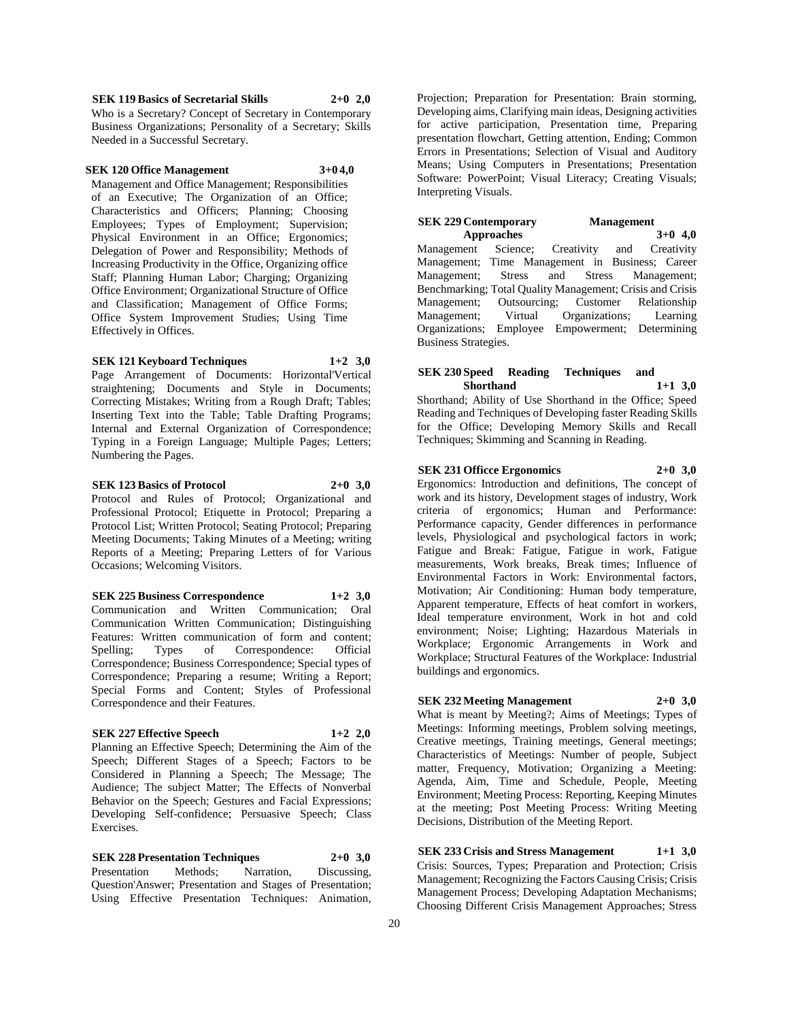## **SEK 119 Basics of Secretarial Skills 2+0 2,0**

Who is a Secretary? Concept of Secretary in Contemporary Business Organizations; Personality of a Secretary; Skills Needed in a Successful Secretary.

#### **SEK 120 Office Management 3+0 4,0**

Management and Office Management; Responsibilities of an Executive; The Organization of an Office; Characteristics and Officers; Planning; Choosing Employees; Types of Employment; Supervision; Physical Environment in an Office; Ergonomics; Delegation of Power and Responsibility; Methods of Increasing Productivity in the Office, Organizing office Staff; Planning Human Labor; Charging; Organizing Office Environment; Organizational Structure of Office and Classification; Management of Office Forms; Office System Improvement Studies; Using Time Effectively in Offices.

## **SEK 121 Keyboard Techniques 1+2 3,0**

Page Arrangement of Documents: Horizontal'Vertical straightening; Documents and Style in Documents; Correcting Mistakes; Writing from a Rough Draft; Tables; Inserting Text into the Table; Table Drafting Programs; Internal and External Organization of Correspondence; Typing in a Foreign Language; Multiple Pages; Letters; Numbering the Pages.

## **SEK 123 Basics of Protocol 2+0 3,0** Protocol and Rules of Protocol; Organizational and Professional Protocol; Etiquette in Protocol; Preparing a Protocol List; Written Protocol; Seating Protocol; Preparing Meeting Documents; Taking Minutes of a Meeting; writing Reports of a Meeting; Preparing Letters of for Various Occasions; Welcoming Visitors.

## **SEK 225 Business Correspondence 1+2 3,0**

Communication and Written Communication; Oral Communication Written Communication; Distinguishing Features: Written communication of form and content; Spelling; Types of Correspondence: Official Correspondence; Business Correspondence; Special types of Correspondence; Preparing a resume; Writing a Report; Special Forms and Content; Styles of Professional Correspondence and their Features.

#### **SEK 227 Effective Speech 1+2 2,0**

Planning an Effective Speech; Determining the Aim of the Speech; Different Stages of a Speech; Factors to be Considered in Planning a Speech; The Message; The Audience; The subject Matter; The Effects of Nonverbal Behavior on the Speech; Gestures and Facial Expressions; Developing Self-confidence; Persuasive Speech; Class Exercises.

**SEK 228 Presentation Techniques 2+0 3,0** Presentation Methods; Narration, Discussing, Question'Answer; Presentation and Stages of Presentation; Using Effective Presentation Techniques: Animation,

Projection; Preparation for Presentation: Brain storming, Developing aims, Clarifying main ideas, Designing activities for active participation, Presentation time, Preparing presentation flowchart, Getting attention, Ending; Common Errors in Presentations; Selection of Visual and Auditory Means; Using Computers in Presentations; Presentation Software: PowerPoint; Visual Literacy; Creating Visuals; Interpreting Visuals.

## **SEK 229 Contemporary Management Approaches 3+0 4,0**

Management Science; Creativity and Creativity Management; Time Management in Business; Career Management; Stress and Stress Management; Benchmarking; Total Quality Management; Crisis and Crisis Management; Outsourcing; Customer Relationship Management; Virtual Organizations; Learning Organizations; Employee Empowerment; Determining Business Strategies.

#### **SEK 230 Speed Reading Techniques and Shorthand 1+1 3,0**

Shorthand; Ability of Use Shorthand in the Office; Speed Reading and Techniques of Developing faster Reading Skills for the Office; Developing Memory Skills and Recall Techniques; Skimming and Scanning in Reading.

**SEK 231 Officce Ergonomics 2+0 3,0** Ergonomics: Introduction and definitions, The concept of work and its history, Development stages of industry, Work criteria of ergonomics; Human and Performance: Performance capacity, Gender differences in performance levels, Physiological and psychological factors in work; Fatigue and Break: Fatigue, Fatigue in work, Fatigue measurements, Work breaks, Break times; Influence of Environmental Factors in Work: Environmental factors, Motivation; Air Conditioning: Human body temperature, Apparent temperature, Effects of heat comfort in workers, Ideal temperature environment, Work in hot and cold environment; Noise; Lighting; Hazardous Materials in Workplace; Ergonomic Arrangements in Work and Workplace; Structural Features of the Workplace: Industrial buildings and ergonomics.

## **SEK 232 Meeting Management 2+0 3,0**

What is meant by Meeting?; Aims of Meetings; Types of Meetings: Informing meetings, Problem solving meetings, Creative meetings, Training meetings, General meetings; Characteristics of Meetings: Number of people, Subject matter, Frequency, Motivation; Organizing a Meeting: Agenda, Aim, Time and Schedule, People, Meeting Environment; Meeting Process: Reporting, Keeping Minutes at the meeting; Post Meeting Process: Writing Meeting Decisions, Distribution of the Meeting Report.

**SEK 233 Crisis and Stress Management 1+1 3,0** Crisis: Sources, Types; Preparation and Protection; Crisis Management; Recognizing the Factors Causing Crisis; Crisis Management Process; Developing Adaptation Mechanisms; Choosing Different Crisis Management Approaches; Stress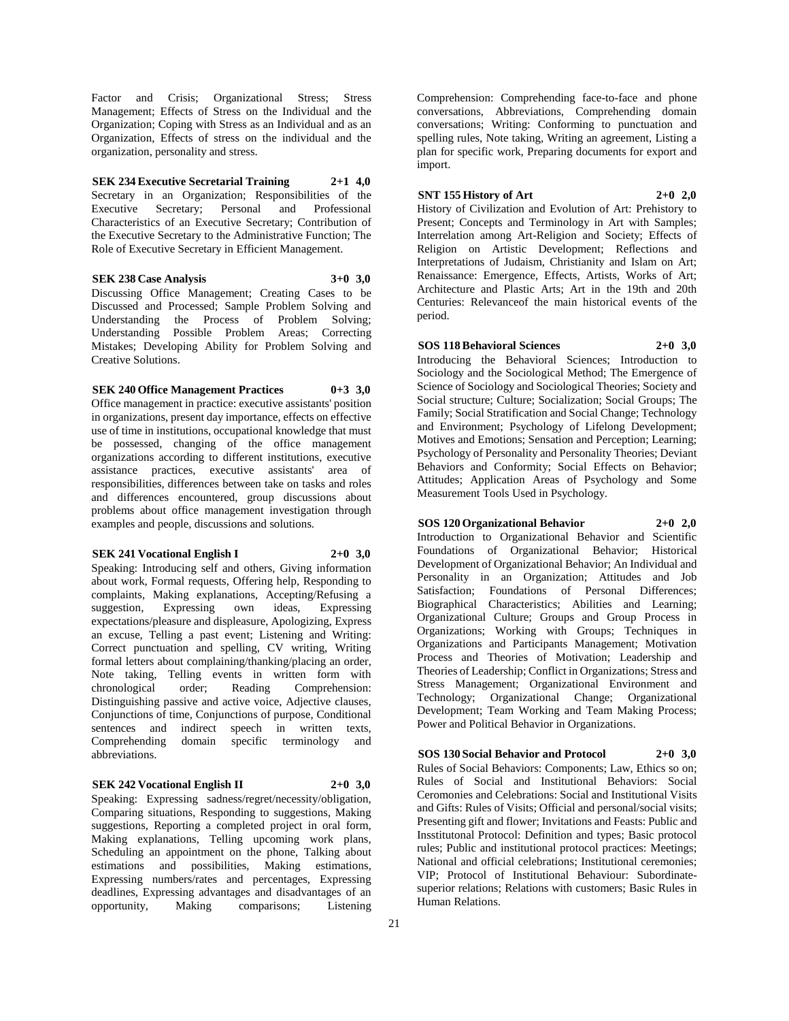Factor and Crisis; Organizational Stress; Stress Management; Effects of Stress on the Individual and the Organization; Coping with Stress as an Individual and as an Organization, Effects of stress on the individual and the organization, personality and stress.

**SEK 234 Executive Secretarial Training 2+1 4,0** Secretary in an Organization; Responsibilities of the Executive Secretary; Personal and Professional Characteristics of an Executive Secretary; Contribution of the Executive Secretary to the Administrative Function; The Role of Executive Secretary in Efficient Management.

### **SEK 238 Case Analysis 3+0 3,0**

Discussing Office Management; Creating Cases to be Discussed and Processed; Sample Problem Solving and Understanding the Process of Problem Solving; Understanding Possible Problem Areas; Correcting Mistakes; Developing Ability for Problem Solving and Creative Solutions.

## **SEK 240 Office Management Practices 0+3 3,0**

Office management in practice: executive assistants' position in organizations, present day importance, effects on effective use of time in institutions, occupational knowledge that must be possessed, changing of the office management organizations according to different institutions, executive assistance practices, executive assistants' area of responsibilities, differences between take on tasks and roles and differences encountered, group discussions about problems about office management investigation through examples and people, discussions and solutions.

**SEK 241 Vocational English I 2+0 3,0**

Speaking: Introducing self and others, Giving information about work, Formal requests, Offering help, Responding to complaints, Making explanations, Accepting/Refusing a suggestion, Expressing own ideas, Expressing expectations/pleasure and displeasure, Apologizing, Express an excuse, Telling a past event; Listening and Writing: Correct punctuation and spelling, CV writing, Writing formal letters about complaining/thanking/placing an order, Note taking, Telling events in written form with chronological order; Reading Comprehension: Distinguishing passive and active voice, Adjective clauses, Conjunctions of time, Conjunctions of purpose, Conditional sentences and indirect speech in written texts, Comprehending domain specific terminology and abbreviations.

## **SEK 242 Vocational English II 2+0 3,0**

Speaking: Expressing sadness/regret/necessity/obligation, Comparing situations, Responding to suggestions, Making suggestions, Reporting a completed project in oral form, Making explanations, Telling upcoming work plans, Scheduling an appointment on the phone, Talking about estimations and possibilities, Making estimations, Expressing numbers/rates and percentages, Expressing deadlines, Expressing advantages and disadvantages of an opportunity, Making comparisons; Listening

Comprehension: Comprehending face-to-face and phone conversations, Abbreviations, Comprehending domain conversations; Writing: Conforming to punctuation and spelling rules, Note taking, Writing an agreement, Listing a plan for specific work, Preparing documents for export and .<br>import.

## **SNT 155 History of Art 2+0 2,0**

History of Civilization and Evolution of Art: Prehistory to Present: Concepts and Terminology in Art with Samples: Interrelation among Art-Religion and Society; Effects of Religion on Artistic Development; Reflections and Interpretations of Judaism, Christianity and Islam on Art; Renaissance: Emergence, Effects, Artists, Works of Art; Architecture and Plastic Arts; Art in the 19th and 20th Centuries: Relevanceof the main historical events of the period.

#### **SOS 118 Behavioral Sciences 2+0 3,0**

Introducing the Behavioral Sciences; Introduction to Sociology and the Sociological Method; The Emergence of Science of Sociology and Sociological Theories; Society and Social structure; Culture; Socialization; Social Groups; The Family; Social Stratification and Social Change; Technology and Environment; Psychology of Lifelong Development; Motives and Emotions; Sensation and Perception; Learning; Psychology of Personality and Personality Theories; Deviant Behaviors and Conformity; Social Effects on Behavior; Attitudes; Application Areas of Psychology and Some Measurement Tools Used in Psychology.

## **SOS 120 Organizational Behavior 2+0 2,0**

Introduction to Organizational Behavior and Scientific Foundations of Organizational Behavior; Historical Development of Organizational Behavior; An Individual and Personality in an Organization; Attitudes and Job Satisfaction; Foundations of Personal Differences; Biographical Characteristics; Abilities and Learning; Organizational Culture; Groups and Group Process in Organizations; Working with Groups; Techniques in Organizations and Participants Management; Motivation Process and Theories of Motivation; Leadership and Theories of Leadership; Conflict in Organizations; Stress and Stress Management; Organizational Environment and Technology; Organizational Change; Organizational Development; Team Working and Team Making Process; Power and Political Behavior in Organizations.

# **SOS 130 Social Behavior and Protocol 2+0 3,0**

Rules of Social Behaviors: Components; Law, Ethics so on; Rules of Social and Institutional Behaviors: Social Ceromonies and Celebrations: Social and Institutional Visits and Gifts: Rules of Visits; Official and personal/social visits; Presenting gift and flower; Invitations and Feasts: Public and Insstitutonal Protocol: Definition and types; Basic protocol rules; Public and institutional protocol practices: Meetings; National and official celebrations; Institutional ceremonies; VIP; Protocol of Institutional Behaviour: Subordinatesuperior relations; Relations with customers; Basic Rules in Human Relations.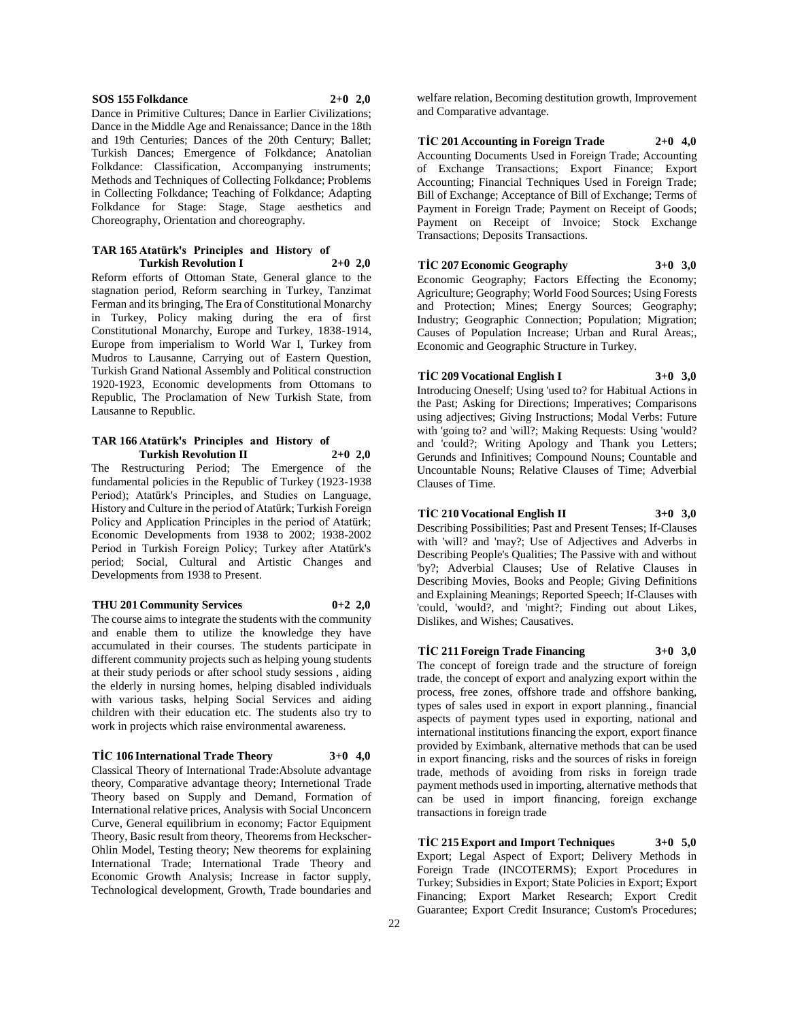#### **SOS 155 Folkdance 2+0 2,0**

Dance in Primitive Cultures; Dance in Earlier Civilizations; Dance in the Middle Age and Renaissance; Dance in the 18th and 19th Centuries; Dances of the 20th Century; Ballet; Turkish Dances; Emergence of Folkdance; Anatolian Folkdance: Classification, Accompanying instruments; Methods and Techniques of Collecting Folkdance; Problems in Collecting Folkdance; Teaching of Folkdance; Adapting Folkdance for Stage: Stage, Stage aesthetics and Choreography, Orientation and choreography.

#### **TAR 165 Atatürk's Principles and History of Turkish Revolution I 2+0 2,0**

Reform efforts of Ottoman State, General glance to the stagnation period, Reform searching in Turkey, Tanzimat Ferman and its bringing, The Era of Constitutional Monarchy in Turkey, Policy making during the era of first Constitutional Monarchy, Europe and Turkey, 1838-1914, Europe from imperialism to World War I, Turkey from Mudros to Lausanne, Carrying out of Eastern Question, Turkish Grand National Assembly and Political construction 1920-1923, Economic developments from Ottomans to Republic, The Proclamation of New Turkish State, from Lausanne to Republic.

#### **TAR 166 Atatürk's Principles and History of Turkish Revolution II 2+0 2,0**

The Restructuring Period; The Emergence of the fundamental policies in the Republic of Turkey (1923-1938 Period); Atatürk's Principles, and Studies on Language, History and Culture in the period of Atatürk; Turkish Foreign Policy and Application Principles in the period of Atatürk; Economic Developments from 1938 to 2002; 1938-2002 Period in Turkish Foreign Policy; Turkey after Atatürk's period; Social, Cultural and Artistic Changes and Developments from 1938 to Present.

#### **THU 201 Community Services 0+2 2,0**

The course aims to integrate the students with the community and enable them to utilize the knowledge they have accumulated in their courses. The students participate in different community projects such as helping young students at their study periods or after school study sessions , aiding the elderly in nursing homes, helping disabled individuals with various tasks, helping Social Services and aiding children with their education etc. The students also try to work in projects which raise environmental awareness.

## **TİC 106 International Trade Theory 3+0 4,0**

Classical Theory of International Trade:Absolute advantage theory, Comparative advantage theory; Internetional Trade Theory based on Supply and Demand, Formation of International relative prices, Analysis with Social Unconcern Curve, General equilibrium in economy; Factor Equipment Theory, Basic result from theory, Theorems from Heckscher-Ohlin Model, Testing theory; New theorems for explaining International Trade; International Trade Theory and Economic Growth Analysis; Increase in factor supply, Technological development, Growth, Trade boundaries and

welfare relation, Becoming destitution growth, Improvement and Comparative advantage.

**TİC 201 Accounting in Foreign Trade 2+0 4,0** Accounting Documents Used in Foreign Trade; Accounting of Exchange Transactions; Export Finance; Export Accounting; Financial Techniques Used in Foreign Trade; Bill of Exchange; Acceptance of Bill of Exchange; Terms of Payment in Foreign Trade; Payment on Receipt of Goods; Payment on Receipt of Invoice; Stock Exchange Transactions; Deposits Transactions.

**TİC 207 Economic Geography 3+0 3,0** Economic Geography; Factors Effecting the Economy; Agriculture; Geography; World Food Sources; Using Forests and Protection; Mines; Energy Sources; Geography; Industry; Geographic Connection; Population; Migration; Causes of Population Increase; Urban and Rural Areas;, Economic and Geographic Structure in Turkey.

#### **TİC 209 Vocational English I 3+0 3,0**

Introducing Oneself; Using 'used to? for Habitual Actions in the Past; Asking for Directions; Imperatives; Comparisons using adjectives; Giving Instructions; Modal Verbs: Future with 'going to? and 'will?; Making Requests: Using 'would? and 'could?; Writing Apology and Thank you Letters; Gerunds and Infinitives; Compound Nouns; Countable and Uncountable Nouns; Relative Clauses of Time; Adverbial Clauses of Time.

## **TİC 210 Vocational English II 3+0 3,0**

Describing Possibilities; Past and Present Tenses; If-Clauses with 'will? and 'may?; Use of Adjectives and Adverbs in Describing People's Qualities; The Passive with and without 'by?; Adverbial Clauses; Use of Relative Clauses in Describing Movies, Books and People; Giving Definitions and Explaining Meanings; Reported Speech; If-Clauses with 'could, 'would?, and 'might?; Finding out about Likes, Dislikes, and Wishes; Causatives.

#### **TİC 211 Foreign Trade Financing 3+0 3,0**

The concept of foreign trade and the structure of foreign trade, the concept of export and analyzing export within the process, free zones, offshore trade and offshore banking, types of sales used in export in export planning., financial aspects of payment types used in exporting, national and international institutions financing the export, export finance provided by Eximbank, alternative methods that can be used in export financing, risks and the sources of risks in foreign trade, methods of avoiding from risks in foreign trade payment methods used in importing, alternative methods that can be used in import financing, foreign exchange transactions in foreign trade

**TİC 215 Export and Import Techniques 3+0 5,0** Export; Legal Aspect of Export; Delivery Methods in Foreign Trade (INCOTERMS); Export Procedures in Turkey; Subsidies in Export; State Policies in Export; Export Financing; Export Market Research; Export Credit Guarantee; Export Credit Insurance; Custom's Procedures;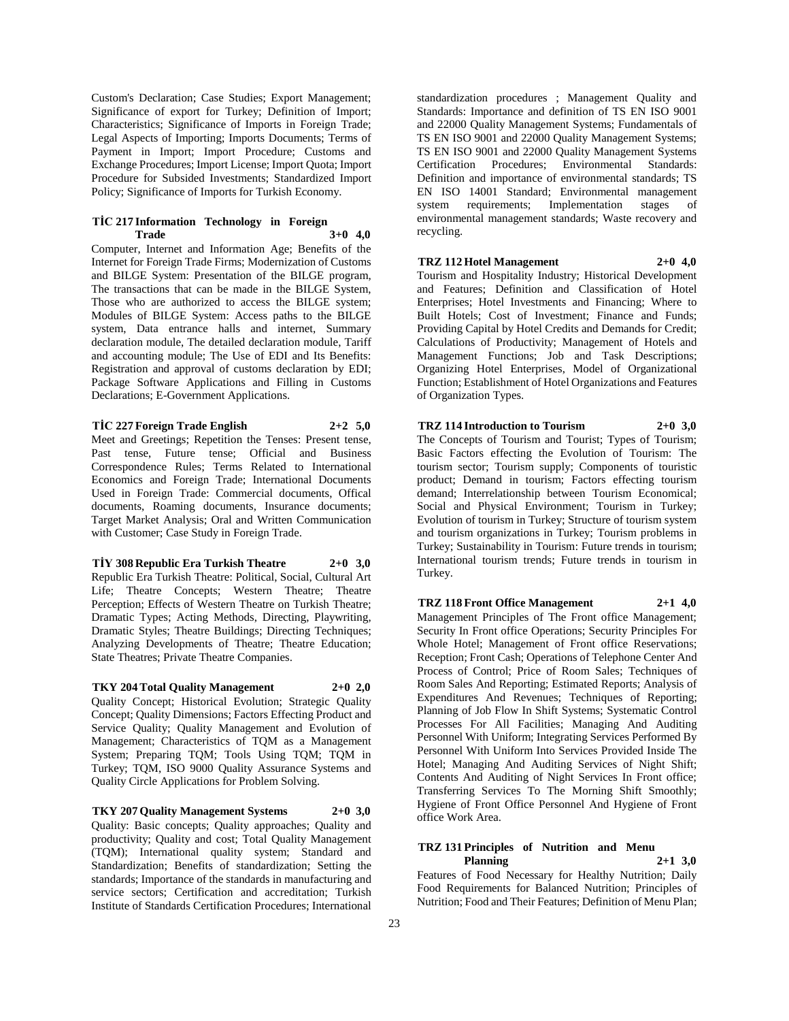Custom's Declaration; Case Studies; Export Management; Significance of export for Turkey; Definition of Import; Characteristics; Significance of Imports in Foreign Trade; Legal Aspects of Importing; Imports Documents; Terms of Payment in Import; Import Procedure; Customs and Exchange Procedures; Import License; Import Quota; Import Procedure for Subsided Investments; Standardized Import Policy; Significance of Imports for Turkish Economy.

## **TİC 217 Information Technology in Foreign Trade 3+0 4,0**

Computer, Internet and Information Age; Benefits of the Internet for Foreign Trade Firms; Modernization of Customs and BILGE System: Presentation of the BILGE program, The transactions that can be made in the BILGE System, Those who are authorized to access the BILGE system; Modules of BILGE System: Access paths to the BILGE system, Data entrance halls and internet, Summary declaration module, The detailed declaration module, Tariff and accounting module; The Use of EDI and Its Benefits: Registration and approval of customs declaration by EDI; Package Software Applications and Filling in Customs Declarations; E-Government Applications.

## **TİC 227 Foreign Trade English 2+2 5,0**

Meet and Greetings; Repetition the Tenses: Present tense, Past tense, Future tense; Official and Business Correspondence Rules; Terms Related to International Economics and Foreign Trade; International Documents Used in Foreign Trade: Commercial documents, Offical documents, Roaming documents, Insurance documents; Target Market Analysis; Oral and Written Communication with Customer; Case Study in Foreign Trade.

## **TİY 308 Republic Era Turkish Theatre 2+0 3,0**

Republic Era Turkish Theatre: Political, Social, Cultural Art Life; Theatre Concepts; Western Theatre; Theatre Perception; Effects of Western Theatre on Turkish Theatre; Dramatic Types; Acting Methods, Directing, Playwriting, Dramatic Styles; Theatre Buildings; Directing Techniques; Analyzing Developments of Theatre; Theatre Education; State Theatres; Private Theatre Companies.

## **TKY 204 Total Quality Management 2+0 2,0**

Quality Concept; Historical Evolution; Strategic Quality Concept; Quality Dimensions; Factors Effecting Product and Service Quality; Quality Management and Evolution of Management; Characteristics of TQM as a Management System; Preparing TQM; Tools Using TQM; TQM in Turkey; TQM, ISO 9000 Quality Assurance Systems and Quality Circle Applications for Problem Solving.

**TKY 207 Quality Management Systems 2+0 3,0** Quality: Basic concepts; Quality approaches; Quality and productivity; Quality and cost; Total Quality Management (TQM); International quality system; Standard and Standardization; Benefits of standardization; Setting the standards; Importance of the standards in manufacturing and service sectors: Certification and accreditation: Turkish Institute of Standards Certification Procedures; International

standardization procedures ; Management Quality and Standards: Importance and definition of TS EN ISO 9001 and 22000 Quality Management Systems; Fundamentals of TS EN ISO 9001 and 22000 Quality Management Systems; TS EN ISO 9001 and 22000 Quality Management Systems Certification Procedures; Environmental Standards: Definition and importance of environmental standards; TS EN ISO 14001 Standard; Environmental management system requirements; Implementation stages of environmental management standards; Waste recovery and recycling.

#### **TRZ 112 Hotel Management 2+0 4,0**

Tourism and Hospitality Industry; Historical Development and Features; Definition and Classification of Hotel Enterprises; Hotel Investments and Financing; Where to Built Hotels; Cost of Investment; Finance and Funds; Providing Capital by Hotel Credits and Demands for Credit; Calculations of Productivity; Management of Hotels and Management Functions; Job and Task Descriptions; Organizing Hotel Enterprises, Model of Organizational Function; Establishment of Hotel Organizations and Features of Organization Types.

## **TRZ 114 Introduction to Tourism 2+0 3,0**

The Concepts of Tourism and Tourist; Types of Tourism; Basic Factors effecting the Evolution of Tourism: The tourism sector; Tourism supply; Components of touristic product; Demand in tourism; Factors effecting tourism demand; Interrelationship between Tourism Economical; Social and Physical Environment; Tourism in Turkey; Evolution of tourism in Turkey; Structure of tourism system and tourism organizations in Turkey; Tourism problems in Turkey; Sustainability in Tourism: Future trends in tourism; International tourism trends; Future trends in tourism in Turkey.

**TRZ 118 Front Office Management 2+1 4,0** Management Principles of The Front office Management; Security In Front office Operations; Security Principles For Whole Hotel; Management of Front office Reservations; Reception; Front Cash; Operations of Telephone Center And Process of Control; Price of Room Sales; Techniques of Room Sales And Reporting; Estimated Reports; Analysis of Expenditures And Revenues; Techniques of Reporting; Planning of Job Flow In Shift Systems; Systematic Control Processes For All Facilities; Managing And Auditing Personnel With Uniform; Integrating Services Performed By Personnel With Uniform Into Services Provided Inside The Hotel; Managing And Auditing Services of Night Shift; Contents And Auditing of Night Services In Front office; Transferring Services To The Morning Shift Smoothly; Hygiene of Front Office Personnel And Hygiene of Front office Work Area.

#### **TRZ 131 Principles of Nutrition and Menu Planning 2+1 3,0**

Features of Food Necessary for Healthy Nutrition; Daily Food Requirements for Balanced Nutrition; Principles of Nutrition; Food and Their Features; Definition of Menu Plan;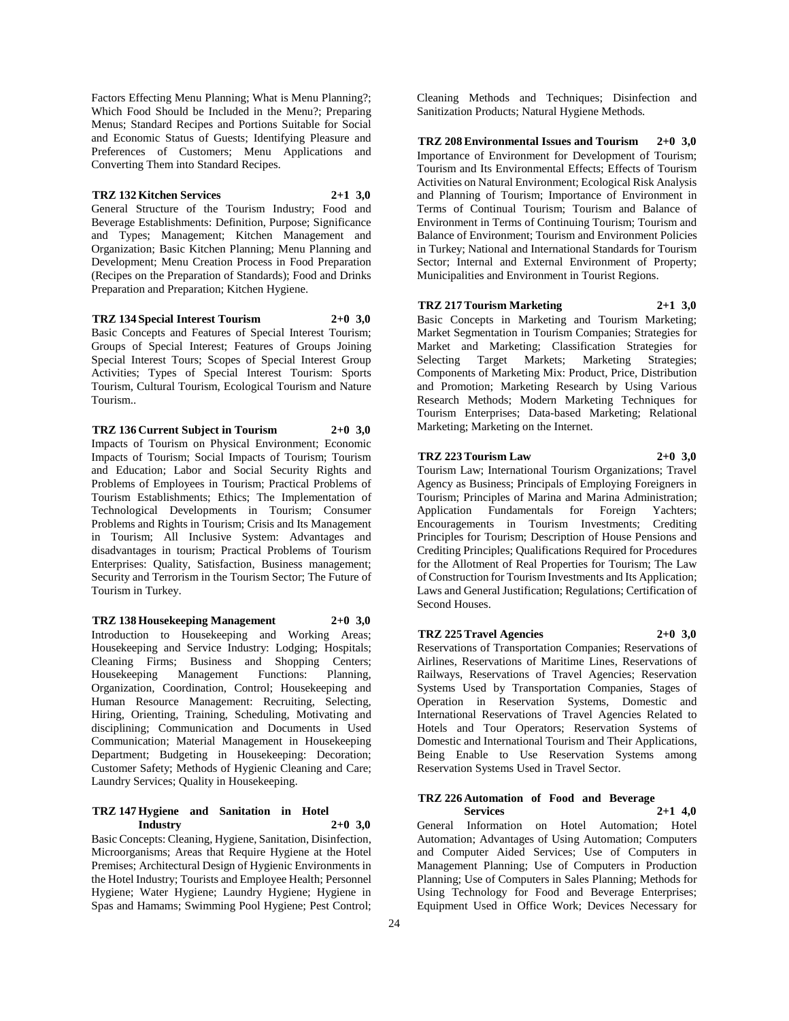Factors Effecting Menu Planning; What is Menu Planning?; Which Food Should be Included in the Menu?; Preparing Menus; Standard Recipes and Portions Suitable for Social and Economic Status of Guests; Identifying Pleasure and Preferences of Customers; Menu Applications and Converting Them into Standard Recipes.

#### **TRZ 132 Kitchen Services 2+1 3,0**

General Structure of the Tourism Industry; Food and Beverage Establishments: Definition, Purpose; Significance and Types; Management; Kitchen Management and Organization; Basic Kitchen Planning; Menu Planning and Development; Menu Creation Process in Food Preparation (Recipes on the Preparation of Standards); Food and Drinks Preparation and Preparation; Kitchen Hygiene.

**TRZ 134 Special Interest Tourism 2+0 3,0** Basic Concepts and Features of Special Interest Tourism; Groups of Special Interest; Features of Groups Joining Special Interest Tours; Scopes of Special Interest Group Activities; Types of Special Interest Tourism: Sports Tourism, Cultural Tourism, Ecological Tourism and Nature Tourism..

**TRZ 136 Current Subject in Tourism 2+0 3,0** Impacts of Tourism on Physical Environment; Economic Impacts of Tourism; Social Impacts of Tourism; Tourism and Education; Labor and Social Security Rights and Problems of Employees in Tourism; Practical Problems of Tourism Establishments; Ethics; The Implementation of Technological Developments in Tourism; Consumer Problems and Rights in Tourism; Crisis and Its Management in Tourism; All Inclusive System: Advantages and disadvantages in tourism; Practical Problems of Tourism Enterprises: Quality, Satisfaction, Business management; Security and Terrorism in the Tourism Sector; The Future of Tourism in Turkey.

**TRZ 138 Housekeeping Management 2+0 3,0** Introduction to Housekeeping and Working Areas; Housekeeping and Service Industry: Lodging; Hospitals; Cleaning Firms; Business and Shopping Centers;<br>Housekeeping Management Functions: Planning, Housekeeping Management Functions: Organization, Coordination, Control; Housekeeping and Human Resource Management: Recruiting, Selecting, Hiring, Orienting, Training, Scheduling, Motivating and disciplining; Communication and Documents in Used Communication; Material Management in Housekeeping Department; Budgeting in Housekeeping: Decoration; Customer Safety; Methods of Hygienic Cleaning and Care; Laundry Services; Quality in Housekeeping.

## **TRZ 147 Hygiene and Sanitation in Hotel Industry 2+0 3,0**

Basic Concepts: Cleaning, Hygiene, Sanitation, Disinfection, Microorganisms; Areas that Require Hygiene at the Hotel Premises; Architectural Design of Hygienic Environments in the Hotel Industry; Tourists and Employee Health; Personnel Hygiene; Water Hygiene; Laundry Hygiene; Hygiene in Spas and Hamams; Swimming Pool Hygiene; Pest Control;

Cleaning Methods and Techniques; Disinfection and Sanitization Products; Natural Hygiene Methods.

**TRZ 208 Environmental Issues and Tourism 2+0 3,0** Importance of Environment for Development of Tourism; Tourism and Its Environmental Effects; Effects of Tourism Activities on Natural Environment; Ecological Risk Analysis and Planning of Tourism; Importance of Environment in Terms of Continual Tourism; Tourism and Balance of Environment in Terms of Continuing Tourism; Tourism and Balance of Environment; Tourism and Environment Policies in Turkey; National and International Standards for Tourism Sector; Internal and External Environment of Property; Municipalities and Environment in Tourist Regions.

**TRZ 217 Tourism Marketing 2+1 3,0**

Basic Concepts in Marketing and Tourism Marketing; Market Segmentation in Tourism Companies; Strategies for Market and Marketing; Classification Strategies for Selecting Target Markets; Marketing Strategies; Components of Marketing Mix: Product, Price, Distribution and Promotion; Marketing Research by Using Various Research Methods; Modern Marketing Techniques for Tourism Enterprises; Data-based Marketing; Relational Marketing; Marketing on the Internet.

#### **TRZ 223 Tourism Law 2+0 3,0**

Tourism Law; International Tourism Organizations; Travel Agency as Business; Principals of Employing Foreigners in Tourism; Principles of Marina and Marina Administration; Application Fundamentals for Foreign Yachters; Encouragements in Tourism Investments; Crediting Principles for Tourism; Description of House Pensions and Crediting Principles; Qualifications Required for Procedures for the Allotment of Real Properties for Tourism; The Law of Construction for Tourism Investments and Its Application; Laws and General Justification; Regulations; Certification of Second Houses.

#### **TRZ 225 Travel Agencies 2+0 3,0**

Reservations of Transportation Companies; Reservations of Airlines, Reservations of Maritime Lines, Reservations of Railways, Reservations of Travel Agencies; Reservation Systems Used by Transportation Companies, Stages of Operation in Reservation Systems, Domestic and International Reservations of Travel Agencies Related to Hotels and Tour Operators; Reservation Systems of Domestic and International Tourism and Their Applications, Being Enable to Use Reservation Systems among Reservation Systems Used in Travel Sector.

#### **TRZ 226 Automation of Food and Beverage Services 2+1 4,0**

General Information on Hotel Automation; Hotel Automation; Advantages of Using Automation; Computers and Computer Aided Services; Use of Computers in Management Planning; Use of Computers in Production Planning; Use of Computers in Sales Planning; Methods for Using Technology for Food and Beverage Enterprises; Equipment Used in Office Work; Devices Necessary for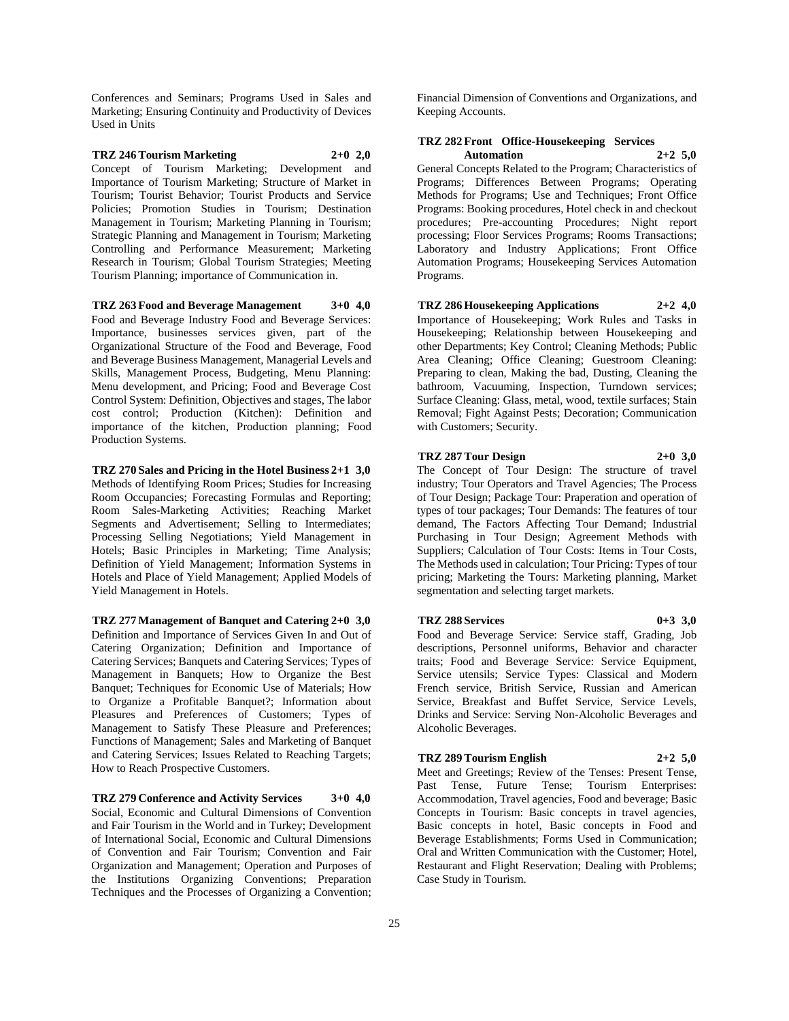Conferences and Seminars; Programs Used in Sales and Marketing; Ensuring Continuity and Productivity of Devices Used in Units

# **TRZ 246 Tourism Marketing 2+0 2,0**

Concept of Tourism Marketing; Development and Importance of Tourism Marketing; Structure of Market in Tourism; Tourist Behavior; Tourist Products and Service Policies; Promotion Studies in Tourism; Destination Management in Tourism; Marketing Planning in Tourism; Strategic Planning and Management in Tourism; Marketing Controlling and Performance Measurement; Marketing Research in Tourism; Global Tourism Strategies; Meeting Tourism Planning; importance of Communication in.

**TRZ 263 Food and Beverage Management 3+0 4,0** Food and Beverage Industry Food and Beverage Services: Importance, businesses services given, part of the Organizational Structure of the Food and Beverage, Food and Beverage Business Management, Managerial Levels and Skills, Management Process, Budgeting, Menu Planning: Menu development, and Pricing; Food and Beverage Cost Control System: Definition, Objectives and stages, The labor cost control; Production (Kitchen): Definition and importance of the kitchen, Production planning; Food Production Systems.

### **TRZ 270 Sales and Pricing in the Hotel Business 2+1 3,0** Methods of Identifying Room Prices; Studies for Increasing Room Occupancies; Forecasting Formulas and Reporting; Room Sales-Marketing Activities; Reaching Market Segments and Advertisement; Selling to Intermediates; Processing Selling Negotiations; Yield Management in Hotels; Basic Principles in Marketing; Time Analysis; Definition of Yield Management; Information Systems in Hotels and Place of Yield Management; Applied Models of Yield Management in Hotels.

**TRZ 277 Management of Banquet and Catering 2+0 3,0** Definition and Importance of Services Given In and Out of Catering Organization; Definition and Importance of Catering Services; Banquets and Catering Services; Types of Management in Banquets; How to Organize the Best Banquet; Techniques for Economic Use of Materials; How to Organize a Profitable Banquet?; Information about Pleasures and Preferences of Customers; Types of Management to Satisfy These Pleasure and Preferences; Functions of Management; Sales and Marketing of Banquet and Catering Services; Issues Related to Reaching Targets; How to Reach Prospective Customers.

**TRZ 279 Conference and Activity Services 3+0 4,0** Social, Economic and Cultural Dimensions of Convention and Fair Tourism in the World and in Turkey; Development of International Social, Economic and Cultural Dimensions of Convention and Fair Tourism; Convention and Fair Organization and Management; Operation and Purposes of the Institutions Organizing Conventions; Preparation Techniques and the Processes of Organizing a Convention;

Financial Dimension of Conventions and Organizations, and Keeping Accounts.

## **TRZ 282 Front Office-Housekeeping Services**   $A$ utomation

General Concepts Related to the Program; Characteristics of Programs; Differences Between Programs; Operating Methods for Programs; Use and Techniques; Front Office Programs: Booking procedures, Hotel check in and checkout procedures; Pre-accounting Procedures; Night report processing; Floor Services Programs; Rooms Transactions; Laboratory and Industry Applications; Front Office Automation Programs; Housekeeping Services Automation Programs.

## **TRZ 286 Housekeeping Applications 2+2 4,0**

Importance of Housekeeping; Work Rules and Tasks in Housekeeping; Relationship between Housekeeping and other Departments; Key Control; Cleaning Methods; Public Area Cleaning; Office Cleaning; Guestroom Cleaning: Preparing to clean, Making the bad, Dusting, Cleaning the bathroom, Vacuuming, Inspection, Turndown services; Surface Cleaning: Glass, metal, wood, textile surfaces; Stain Removal; Fight Against Pests; Decoration; Communication with Customers; Security.

#### **TRZ 287 Tour Design 2+0 3,0**

The Concept of Tour Design: The structure of travel industry; Tour Operators and Travel Agencies; The Process of Tour Design; Package Tour: Praperation and operation of types of tour packages; Tour Demands: The features of tour demand, The Factors Affecting Tour Demand; Industrial Purchasing in Tour Design; Agreement Methods with Suppliers; Calculation of Tour Costs: Items in Tour Costs, The Methods used in calculation; Tour Pricing: Types of tour pricing; Marketing the Tours: Marketing planning, Market segmentation and selecting target markets.

#### **TRZ 288 Services 0+3 3,0**

Food and Beverage Service: Service staff, Grading, Job descriptions, Personnel uniforms, Behavior and character traits; Food and Beverage Service: Service Equipment, Service utensils; Service Types: Classical and Modern French service, British Service, Russian and American Service, Breakfast and Buffet Service, Service Levels, Drinks and Service: Serving Non-Alcoholic Beverages and Alcoholic Beverages.

## **TRZ 289 Tourism English 2+2 5,0**

Meet and Greetings; Review of the Tenses: Present Tense, Past Tense, Future Tense; Tourism Enterprises: Accommodation, Travel agencies, Food and beverage; Basic Concepts in Tourism: Basic concepts in travel agencies, Basic concepts in hotel, Basic concepts in Food and Beverage Establishments; Forms Used in Communication; Oral and Written Communication with the Customer; Hotel, Restaurant and Flight Reservation; Dealing with Problems; Case Study in Tourism.